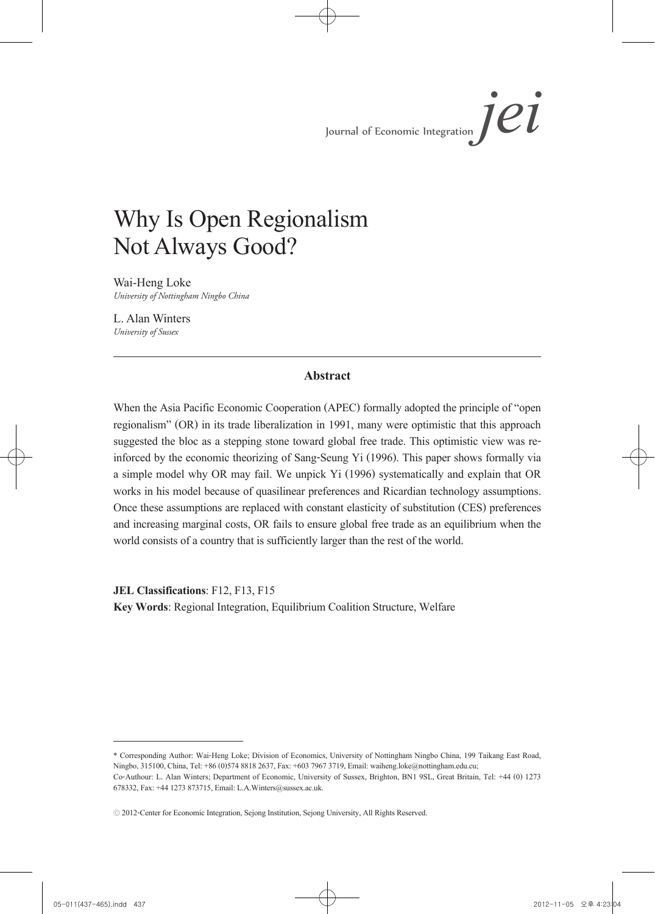# Why Is Open Regionalism Not Always Good?

Wai-Heng Loke *University of Nottingham Ningbo China*

L. Alan Winters *University of Sussex*

### **Abstract**

When the Asia Pacific Economic Cooperation (APEC) formally adopted the principle of "open regionalism" (OR) in its trade liberalization in 1991, many were optimistic that this approach suggested the bloc as a stepping stone toward global free trade. This optimistic view was re-<br>inforced by the economic theorizing of Sang-Seung Yi (1996). This paper shows formally via a simple model why OR may fail. We unpick Yi (1996) systematically and explain that OR works in his model because of quasilinear preferences and Ricardian technology assumptions. Once these assumptions are replaced with constant elasticity of substitution (CES) preferences and increasing marginal costs, OR fails to ensure global free trade as an equilibrium when the world consists of a country that is sufficiently larger than the rest of the world.

**JEL Classifications**: F12, F13, F15

**Key Words**: Regional Integration, Equilibrium Coalition Structure, Welfare

<sup>\*</sup> Corresponding Author: Wai-Heng Loke; Division of Economics, University of Nottingham Ningbo China, 199 Taikang East Road, Ningbo, 315100, China, Tel: +86 (0)574 8818 2637, Fax: +603 7967 3719, Email: waiheng.loke@nottingham.edu.cu;

Co-Authour: L. Alan Winters; Department of Economic, University of Sussex, Brighton, BN1 9SL, Great Britain, Tel: +44 (0) 1273 678332, Fax: +44 1273 873715, Email: L.A.Winters@sussex.ac.uk.

<sup>ⓒ</sup> 2012-Center for Economic Integration, Sejong Institution, Sejong University, All Rights Reserved.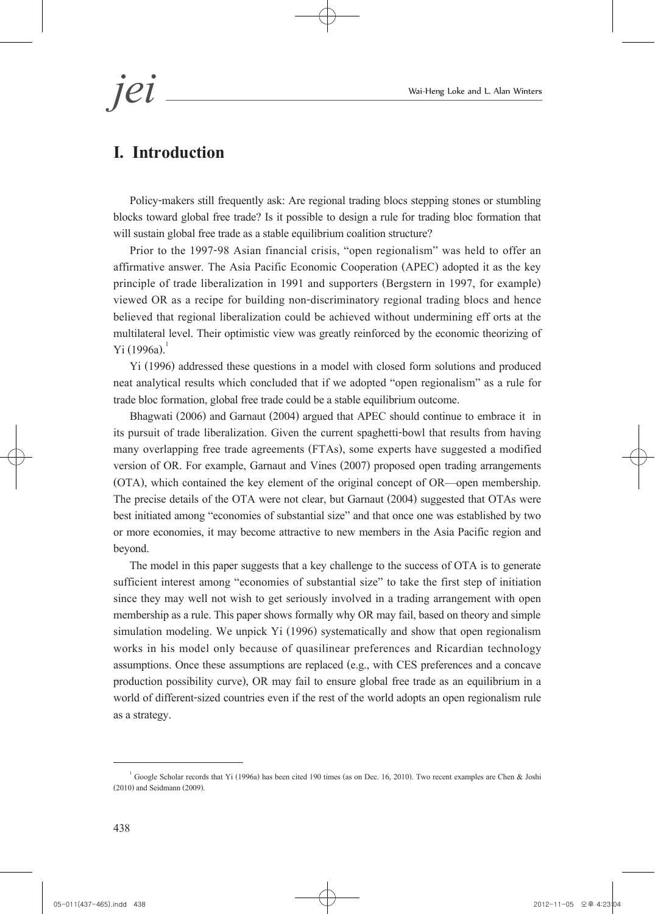# **I. Introduction**

Policy-makers still frequently ask: Are regional trading blocs stepping stones or stumbling blocks toward global free trade? Is it possible to design a rule for trading bloc formation that will sustain global free trade as a stable equilibrium coalition structure?

Prior to the 1997-98 Asian financial crisis, "open regionalism" was held to offer an affirmative answer. The Asia Pacific Economic Cooperation (APEC) adopted it as the key principle of trade liberalization in 1991 and supporters (Bergstern in 1997, for example) viewed OR as a recipe for building non-discriminatory regional trading blocs and hence believed that regional liberalization could be achieved without undermining eff orts at the multilateral level. Their optimistic view was greatly reinforced by the economic theorizing of  $Y_i$  (1996a).<sup>1</sup>

 Yi (1996) addressed these questions in a model with closed form solutions and produced neat analytical results which concluded that if we adopted "open regionalism" as a rule for trade bloc formation, global free trade could be a stable equilibrium outcome.

Bhagwati (2006) and Garnaut (2004) argued that APEC should continue to embrace it in its pursuit of trade liberalization. Given the current spaghetti-bowl that results from having many overlapping free trade agreements (FTAs), some experts have suggested a modified version of OR. For example, Garnaut and Vines (2007) proposed open trading arrangements (OTA), which contained the key element of the original concept of OR—open membership. The precise details of the OTA were not clear, but Garnaut (2004) suggested that OTAs were best initiated among "economies of substantial size" and that once one was established by two or more economies, it may become attractive to new members in the Asia Pacific region and beyond.

The model in this paper suggests that a key challenge to the success of OTA is to generate sufficient interest among "economies of substantial size" to take the first step of initiation since they may well not wish to get seriously involved in a trading arrangement with open membership as a rule. This paper shows formally why OR may fail, based on theory and simple simulation modeling. We unpick Yi (1996) systematically and show that open regionalism works in his model only because of quasilinear preferences and Ricardian technology assumptions. Once these assumptions are replaced (e.g., with CES preferences and a concave production possibility curve), OR may fail to ensure global free trade as an equilibrium in a world of different-sized countries even if the rest of the world adopts an open regionalism rule as a strategy.

<sup>&</sup>lt;sup>1</sup> Google Scholar records that Yi (1996a) has been cited 190 times (as on Dec. 16, 2010). Two recent examples are Chen & Joshi (2010) and Seidmann (2009).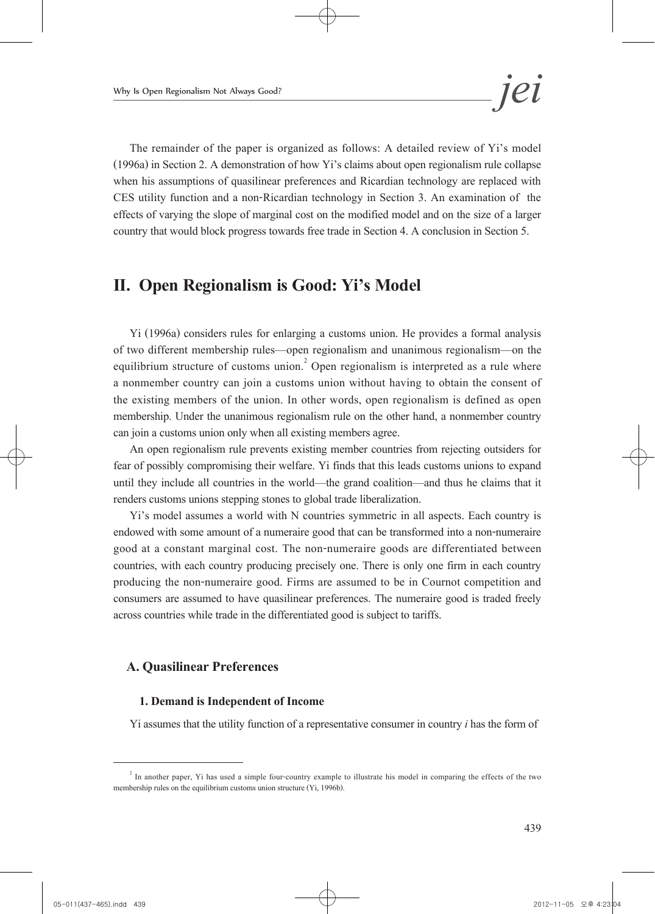The remainder of the paper is organized as follows: A detailed review of Yi's model (1996a) in Section 2. A demonstration of how Yi's claims about open regionalism rule collapse when his assumptions of quasilinear preferences and Ricardian technology are replaced with CES utility function and a non-Ricardian technology in Section 3. An examination of the effects of varying the slope of marginal cost on the modified model and on the size of a larger country that would block progress towards free trade in Section 4. A conclusion in Section 5.

# **II. Open Regionalism is Good: Yi's Model**

Yi (1996a) considers rules for enlarging a customs union. He provides a formal analysis of two different membership rules—open regionalism and unanimous regionalism—on the equilibrium structure of customs union.<sup>2</sup> Open regionalism is interpreted as a rule where a nonmember country can join a customs union without having to obtain the consent of the existing members of the union. In other words, open regionalism is defined as open membership. Under the unanimous regionalism rule on the other hand, a nonmember country can join a customs union only when all existing members agree.

An open regionalism rule prevents existing member countries from rejecting outsiders for fear of possibly compromising their welfare. Yi finds that this leads customs unions to expand until they include all countries in the world—the grand coalition—and thus he claims that it renders customs unions stepping stones to global trade liberalization.

Yi's model assumes a world with N countries symmetric in all aspects. Each country is endowed with some amount of a numeraire good that can be transformed into a non-numeraire good at a constant marginal cost. The non-numeraire goods are differentiated between countries, with each country producing precisely one. There is only one firm in each country producing the non-numeraire good. Firms are assumed to be in Cournot competition and consumers are assumed to have quasilinear preferences. The numeraire good is traded freely across countries while trade in the differentiated good is subject to tariffs.

# **A. Quasilinear Preferences**

### **1. Demand is Independent of Income**

Yi assumes that the utility function of a representative consumer in country *i* has the form of

 $2\pi$  In another paper, Yi has used a simple four-country example to illustrate his model in comparing the effects of the two membership rules on the equilibrium customs union structure (Yi, 1996b).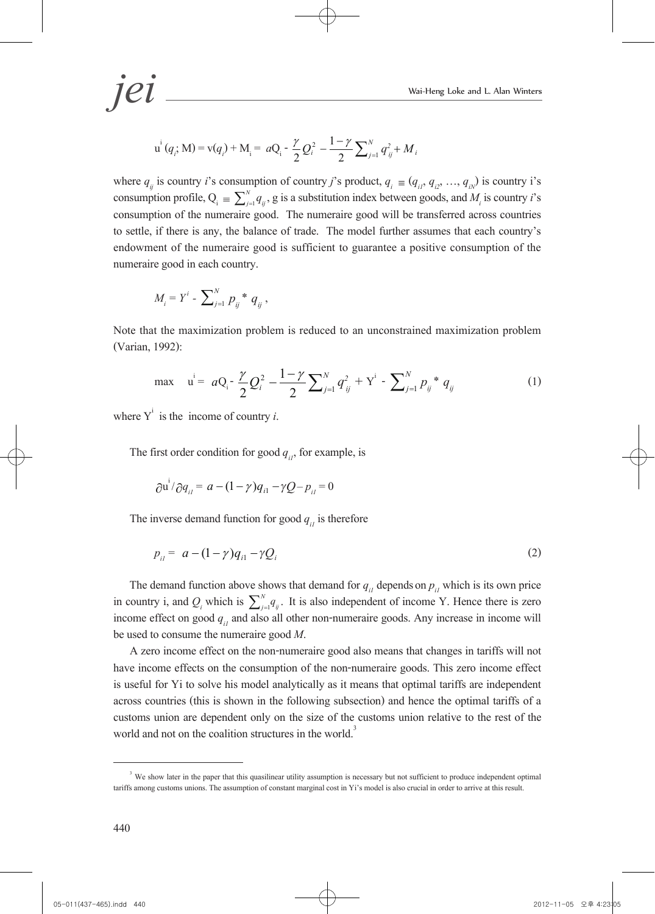$$
\textit{J}\textit{ei}\_\textit{Wai-Heng Loke and L. Alan Winters}
$$

$$
\mathbf{u}^{i} (q_{i}; \mathbf{M}) = \mathbf{v} (q_{i}) + \mathbf{M}_{i} = a \mathbf{Q}_{i} - \frac{\gamma}{2} \mathbf{Q}_{i}^{2} - \frac{1 - \gamma}{2} \sum_{j=1}^{N} q_{ij}^{2} + M_{i}
$$

where  $q_{ij}$  is country *i*'s consumption of country *j*'s product,  $q_i \equiv (q_{ij}, q_{ij}, ..., q_{ij})$  is country i's consumption profile,  $Q_i = \sum_{j=1}^{N} q_{ij}$ , g is a substitution index between goods, and  $M_i$  is country *i*'s consumption of the numeraire good. The numeraire good will be transferred across countries to settle, if there is any, the balance of trade. The model further assumes that each country's endowment of the numeraire good is sufficient to guarantee a positive consumption of the numeraire good in each country.

$$
M_{i} = Y^{i} - \sum_{j=1}^{N} p_{ij}^{*} q_{ij},
$$

Note that the maximization problem is reduced to an unconstrained maximization problem (Varian, 1992):

$$
\max \quad u^i = aQ_i - \frac{\gamma}{2} Q_i^2 - \frac{1-\gamma}{2} \sum_{j=1}^N q_{ij}^2 + Y^i - \sum_{j=1}^N p_{ij}^* q_{ij}
$$
(1)

where  $Y^i$  is the income of country *i*.

The first order condition for good  $q_{ii}$ , for example, is

$$
\frac{\partial u^i}{\partial q_{ii}} = a - (1 - \gamma) q_{i1} - \gamma Q - p_{ii} = 0
$$

The inverse demand function for good  $q_{ij}$  is therefore

$$
p_{ii} = a - (1 - \gamma)q_{i1} - \gamma Q_i
$$
 (2)

The demand function above shows that demand for  $q_{ij}$  depends on  $p_{ij}$  which is its own price in country i, and  $Q_i$  which is  $\sum_{j=1}^{N} q_{ij}$ . It is also independent of income Y. Hence there is zero income effect on good  $q_{ij}$  and also all other non-numeraire goods. Any increase in income will be used to consume the numeraire good *M*. A zero income effect on the non-numeraire good also means that changes in tariffs will not

have income effects on the consumption of the non-numeraire goods. This zero income effect is useful for Yi to solve his model analytically as it means that optimal tariffs are independent across countries (this is shown in the following subsection) and hence the optimal tariffs of a customs union are dependent only on the size of the customs union relative to the rest of the world and not on the coalition structures in the world.<sup>3</sup>

<sup>&</sup>lt;sup>3</sup> We show later in the paper that this quasilinear utility assumption is necessary but not sufficient to produce independent optimal tariffs among customs unions. The assumption of constant marginal cost in Yi's model is also crucial in order to arrive at this result.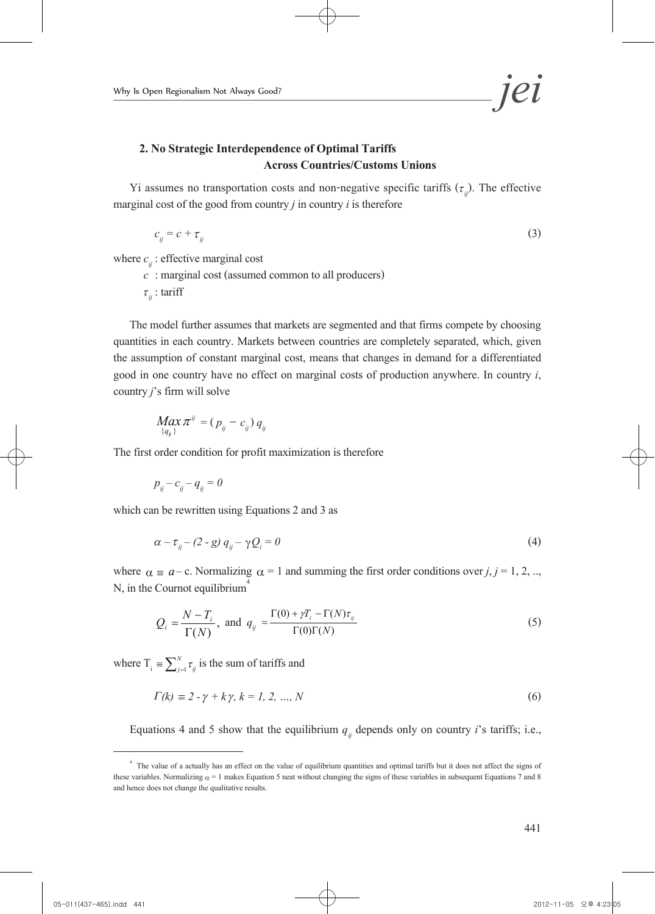

# **2. No Strategic Interdependence of Optimal Tariffs Across Countries/Customs Unions**

Yi assumes no transportation costs and non-negative specific tariffs  $(\tau_{ij})$ . The effective marginal cost of the good from country *j* in country *i* is therefore

$$
c_{ij} = c + \tau_{ij} \tag{3}
$$

where *c<sub>ij</sub>* : effective marginal cost<br>*c* : marginal cost (assumed common to all producers)<br> $τ_{ij}$  : tariff

The model further assumes that markets are segmented and that firms compete by choosing quantities in each country. Markets between countries are completely separated, which, given the assumption of constant marginal cost, means that changes in demand for a differentiated good in one country have no effect on marginal costs of production anywhere. In country *i*, country *j*'s firm will solve

$$
\underset{\{q_{ij}\}}{Max}\pi^{ij}=(p_{ij}-c_{ij})\,q_{ij}
$$

The first order condition for profit maximization is therefore

$$
p_{ij} - c_{ij} - q_{ij} = 0
$$

which can be rewritten using Equations 2 and 3 as

$$
\alpha - \tau_{ij} - (2 - g) q_{ij} - \gamma Q_i = 0 \tag{4}
$$

where  $\alpha \equiv a - c$ . Normalizing  $\alpha = 1$  and summing the first order conditions over *j*, *j* = 1, 2, ... N, in the Cournot equilibrium<sup>4</sup>

$$
Q_i = \frac{N - T_i}{\Gamma(N)}, \text{ and } q_{ij} = \frac{\Gamma(0) + \gamma T_i - \Gamma(N) \tau_{ij}}{\Gamma(0)\Gamma(N)} \tag{5}
$$

where  $T_i = \sum_{j=1}^{N} \tau_{ij}$  is the sum of tariffs and

$$
\Gamma(k) \equiv 2 - \gamma + k\gamma, \, k = 1, \, 2, \, ..., \, N \tag{6}
$$

Equations 4 and 5 show that the equilibrium  $q_{ij}$  depends only on country *i*'s tariffs; i.e.,

<sup>&</sup>lt;sup>4</sup> The value of a actually has an effect on the value of equilibrium quantities and optimal tariffs but it does not affect the signs of these variables. Normalizing  $\alpha = 1$  makes Equation 5 neat without changing the signs of these variables in subsequent Equations 7 and 8 and hence does not change the qualitative results.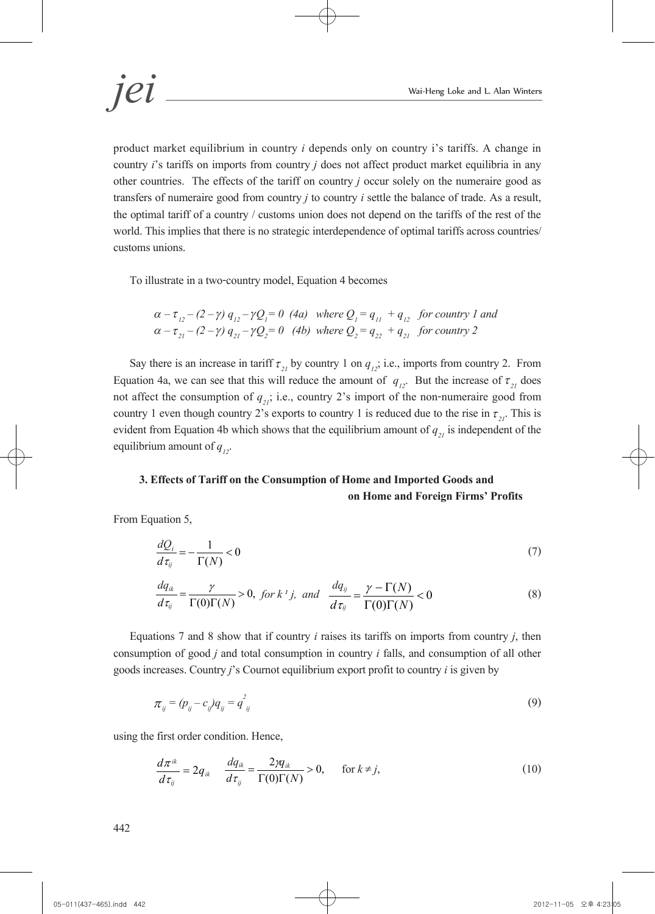product market equilibrium in country *i* depends only on country i's tariffs. A change in country *i*'s tariffs on imports from country *j* does not affect product market equilibria in any other countries. The effects of the tariff on country *j* occur solely on the numeraire good as transfers of numeraire good from country *j* to country *i* settle the balance of trade. As a result, the optimal tariff of a country / customs union does not depend on the tariffs of the rest of the world. This implies that there is no strategic interdependence of optimal tariffs across countries/ customs unions.

To illustrate in a two-country model, Equation 4 becomes

$$
\alpha - \tau_{12} - (2 - \gamma) q_{12} - \gamma Q_1 = 0 \quad (4a) \quad \text{where } Q_1 = q_{11} + q_{12} \quad \text{for country 1 and}
$$
\n
$$
\alpha - \tau_{21} - (2 - \gamma) q_{21} - \gamma Q_2 = 0 \quad (4b) \quad \text{where } Q_2 = q_{22} + q_{21} \quad \text{for country 2}
$$

Say there is an increase in tariff  $\tau_{2i}$  by country 1 on  $q_{i}$ ; i.e., imports from country 2. From Equation 4a, we can see that this will reduce the amount of  $q_{12}$ . But the increase of  $\tau_{21}$  does not affect the consumption of  $q_{2i}$ ; i.e., country 2's import of the non-numeraire good from country 1 even though country 2's exports to country 1 is reduced due to the rise in  $\tau_{21}$ . This is evident from Equation 4b which shows that the equilibrium amount of  $q_{21}$  is independent of the equilibrium amount of  $q_{i2}$ .

# **3. Effects of Tariff on the Consumption of Home and Imported Goods and on Homeand Foreign Firms' Profits**

From Equation 5,

$$
\frac{dQ_i}{d\tau_{ij}} = -\frac{1}{\Gamma(N)} < 0\tag{7}
$$

$$
\frac{dq_{ik}}{d\tau_{ij}} = \frac{\gamma}{\Gamma(0)\Gamma(N)} > 0, \text{ for } k^i j, \text{ and } \frac{dq_{ij}}{d\tau_{ij}} = \frac{\gamma - \Gamma(N)}{\Gamma(0)\Gamma(N)} < 0
$$
\n(8)

Equations 7 and 8 show that if country *i* raises its tariffs on imports from country *j*, then consumption of good *j* and total consumption in country *i* falls, and consumption of all other goods increases. Country *j*'s Cournot equilibrium export profit to country *i* is given by

$$
\pi_{ij} = (p_{ij} - c_{ij})q_{ij} = q_{ij}^2 \tag{9}
$$

using the first order condition. Hence,

$$
\frac{d\pi^{ik}}{d\tau_{ij}} = 2q_{ik} \quad \frac{dq_{ik}}{d\tau_{ij}} = \frac{2\gamma q_{ik}}{\Gamma(0)\Gamma(N)} > 0, \quad \text{for } k \neq j,
$$
\n(10)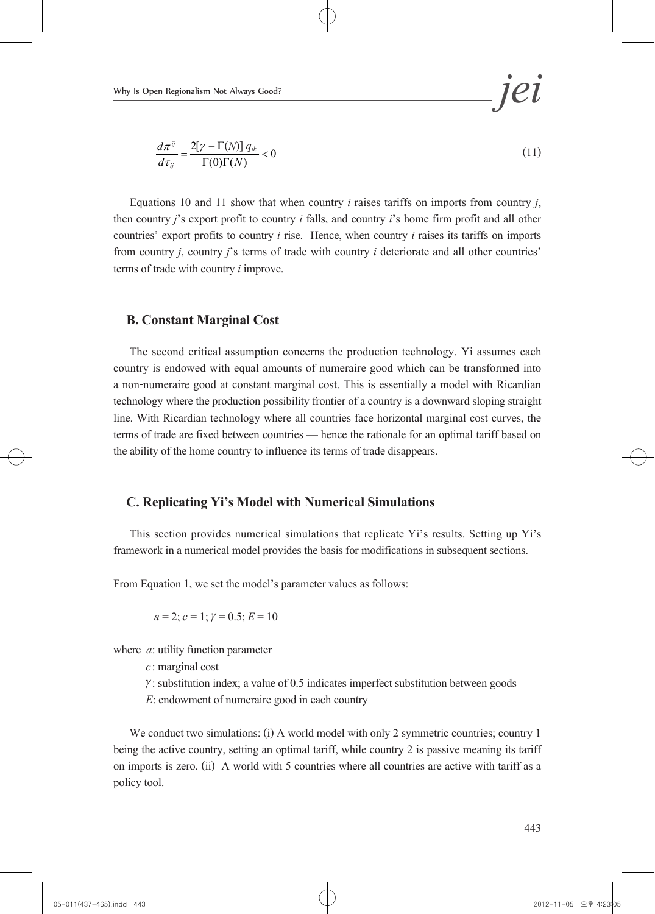$$
\frac{d\pi^{ij}}{d\tau_{ij}} = \frac{2[\gamma - \Gamma(N)] q_{ik}}{\Gamma(0)\Gamma(N)} < 0
$$
\n(11)

Equations 10 and 11 show that when country  $i$  raises tariffs on imports from country  $j$ , then country  $j$ 's export profit to country  $i$  falls, and country  $i$ 's home firm profit and all other countries' export profits to country *i* rise. Hence, when country *i* raises its tariffs on imports from country *j*, country *j*'s terms of trade with country *i* deteriorate and all other countries' terms of trade with country *i* improve.

#### **B. Constant Marginal Cost**

The second critical assumption concerns the production technology. Yi assumes each country is endowed with equal amounts of numeraire good which can be transformed into a non-numeraire good at constant marginal cost. This is essentially a model with Ricardian technology where the production possibility frontier of a country is a downward sloping straight line. With Ricardian technology where all countries face horizontal marginal cost curves, the terms of trade are fixed between countries — hence the rationale for an optimal tariff based on the ability of the home country to influence its terms of trade disappears.

#### **C. Replicating Yi's Model with Numerical Simulations**

This section provides numerical simulations that replicate Yi's results. Setting up Yi's framework in a numerical model provides the basis for modifications in subsequent sections.

From Equation 1, we set the model's parameter values as follows:

$$
a = 2; c = 1; \gamma = 0.5; E = 10
$$

where *a*: utility function parameter

*c*: marginal cost

 $\gamma$ : substitution index; a value of 0.5 indicates imperfect substitution between goods

*E*: endowment of numeraire good in each country

We conduct two simulations: (i) A world model with only 2 symmetric countries; country 1 being the active country, setting an optimal tariff, while country 2 is passive meaning its tariff on imports is zero. (ii) A world with 5 countries where all countries are active with tariff as a policy tool.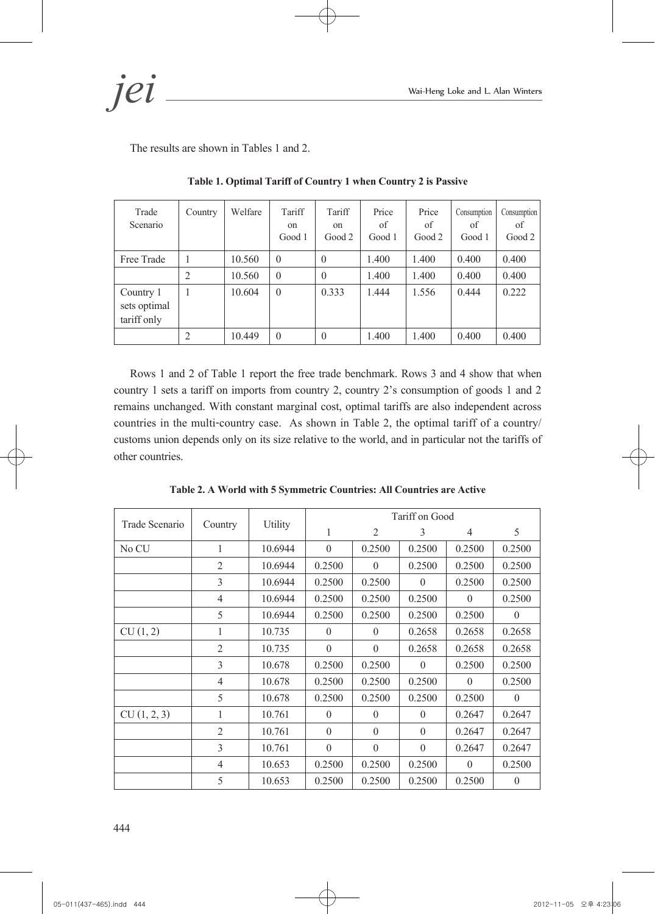*jei* Wai-Heng Loke and L. Alan Winters

The results are shown in Tables 1 and 2.

| Trade<br>Scenario                        | Country | Welfare | Tariff<br><sub>on</sub><br>Good 1 | Tariff<br><sub>on</sub><br>Good 2 | Price<br>of<br>Good 1 | Price<br>of<br>Good 2 | Consumption<br>οf<br>Good 1 | Consumption<br>of<br>Good 2 |
|------------------------------------------|---------|---------|-----------------------------------|-----------------------------------|-----------------------|-----------------------|-----------------------------|-----------------------------|
| Free Trade                               |         | 10.560  | $\theta$                          | $\theta$                          | 1.400                 | 1.400                 | 0.400                       | 0.400                       |
|                                          | 2       | 10.560  | $\theta$                          | $\theta$                          | 1.400                 | 1.400                 | 0.400                       | 0.400                       |
| Country 1<br>sets optimal<br>tariff only |         | 10.604  | $\theta$                          | 0.333                             | 1.444                 | 1.556                 | 0.444                       | 0.222                       |
|                                          | 2       | 10.449  | $\theta$                          | $\theta$                          | 1.400                 | 1.400                 | 0.400                       | 0.400                       |

**Table 1. Optimal Tariff of Country 1 when Country 2 is Passive** 

Rows 1 and 2 of Table 1 report the free trade benchmark. Rows 3 and 4 show that when country 1 sets a tariff on imports from country 2, country 2's consumption of goods 1 and 2 remains unchanged. With constant marginal cost, optimal tariffs are also independent across countries in the multi-country case. As shown in Table 2, the optimal tariff of a country/ customs union depends only on its size relative to the world, and in particular not the tariffs of other countries.

|                |                |         |          |                | Tariff on Good |          |          |
|----------------|----------------|---------|----------|----------------|----------------|----------|----------|
| Trade Scenario | Country        | Utility | 1        | $\overline{2}$ | 3              | 4        | 5        |
| No CU          | 1              | 10.6944 | $\Omega$ | 0.2500         | 0.2500         | 0.2500   | 0.2500   |
|                | 2              | 10.6944 | 0.2500   | $\theta$       | 0.2500         | 0.2500   | 0.2500   |
|                | 3              | 10.6944 | 0.2500   | 0.2500         | $\theta$       | 0.2500   | 0.2500   |
|                | $\overline{4}$ | 10.6944 | 0.2500   | 0.2500         | 0.2500         | $\Omega$ | 0.2500   |
|                | 5              | 10.6944 | 0.2500   | 0.2500         | 0.2500         | 0.2500   | $\theta$ |
| CU(1, 2)       | 1              | 10.735  | $\theta$ | $\theta$       | 0.2658         | 0.2658   | 0.2658   |
|                | $\overline{2}$ | 10.735  | $\theta$ | $\theta$       | 0.2658         | 0.2658   | 0.2658   |
|                | $\overline{3}$ | 10.678  | 0.2500   | 0.2500         | $\Omega$       | 0.2500   | 0.2500   |
|                | $\overline{4}$ | 10.678  | 0.2500   | 0.2500         | 0.2500         | $\Omega$ | 0.2500   |
|                | 5              | 10.678  | 0.2500   | 0.2500         | 0.2500         | 0.2500   | $\Omega$ |
| CU(1, 2, 3)    | 1              | 10.761  | $\theta$ | $\theta$       | $\theta$       | 0.2647   | 0.2647   |
|                | $\overline{2}$ | 10.761  | $\theta$ | $\theta$       | $\theta$       | 0.2647   | 0.2647   |
|                | 3              | 10.761  | $\theta$ | $\theta$       | $\theta$       | 0.2647   | 0.2647   |
|                | $\overline{4}$ | 10.653  | 0.2500   | 0.2500         | 0.2500         | $\theta$ | 0.2500   |
|                | 5              | 10.653  | 0.2500   | 0.2500         | 0.2500         | 0.2500   | $\theta$ |

**Table 2. A World with 5 Symmetric Countries: All Countries are Active**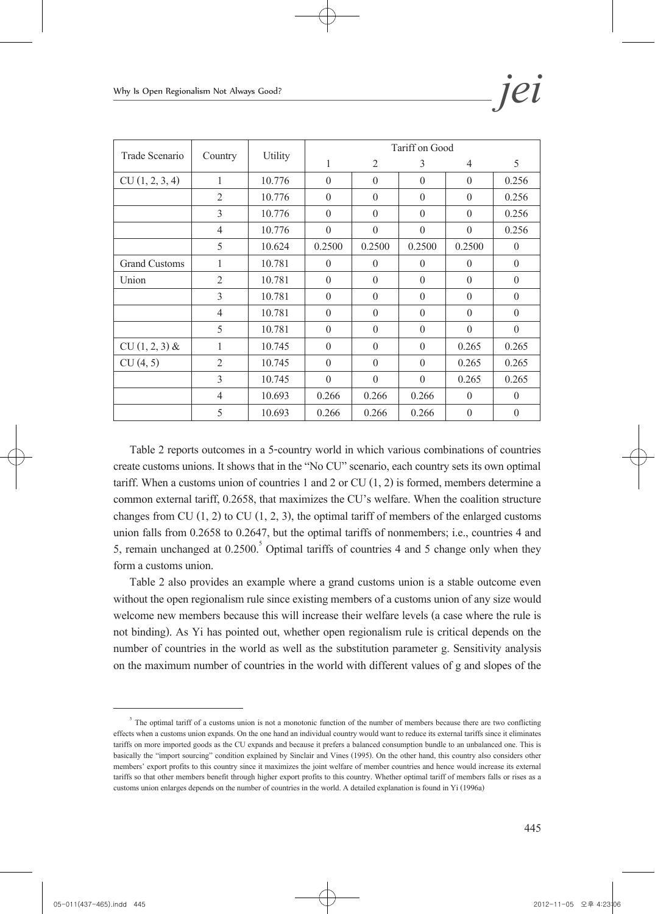| Trade Scenario       |                |         |              |          | Tariff on Good   |                |          |
|----------------------|----------------|---------|--------------|----------|------------------|----------------|----------|
|                      | Country        | Utility | 1            | 2        | 3                | $\overline{4}$ | 5        |
| CU(1, 2, 3, 4)       | 1              | 10.776  | $\theta$     | $\Omega$ | $\theta$         | $\Omega$       | 0.256    |
|                      | $\overline{2}$ | 10.776  | $\theta$     | $\theta$ | $\boldsymbol{0}$ | $\Omega$       | 0.256    |
|                      | 3              | 10.776  | $\theta$     | $\theta$ | $\theta$         | $\theta$       | 0.256    |
|                      | $\overline{4}$ | 10.776  | $\theta$     | $\theta$ | $\theta$         | $\Omega$       | 0.256    |
|                      | 5              | 10.624  | 0.2500       | 0.2500   | 0.2500           | 0.2500         | $\theta$ |
| <b>Grand Customs</b> | 1              | 10.781  | $\theta$     | $\Omega$ | $\theta$         | $\Omega$       | $\theta$ |
| Union                | $\overline{2}$ | 10.781  | $\theta$     | $\theta$ | $\theta$         | $\theta$       | $\theta$ |
|                      | 3              | 10.781  | $\theta$     | $\theta$ | $\theta$         | $\theta$       | $\theta$ |
|                      | $\overline{4}$ | 10.781  | $\theta$     | $\theta$ | $\theta$         | $\theta$       | $\theta$ |
|                      | 5              | 10.781  | $\theta$     | $\theta$ | $\theta$         | $\Omega$       | $\theta$ |
| $CU(1, 2, 3)$ &      | 1              | 10.745  | $\theta$     | $\Omega$ | $\theta$         | 0.265          | 0.265    |
| CU(4, 5)             | $\overline{2}$ | 10.745  | $\theta$     | $\Omega$ | $\theta$         | 0.265          | 0.265    |
|                      | 3              | 10.745  | $\mathbf{0}$ | $\theta$ | $\boldsymbol{0}$ | 0.265          | 0.265    |
|                      | $\overline{4}$ | 10.693  | 0.266        | 0.266    | 0.266            | $\theta$       | $\theta$ |
|                      | 5              | 10.693  | 0.266        | 0.266    | 0.266            | $\theta$       | $\theta$ |

Table 2 reports outcomes in a 5-country world in which various combinations of countries create customs unions. It shows that in the "No CU" scenario, each country sets its own optimal tariff. When a customs union of countries 1 and 2 or CU  $(1, 2)$  is formed, members determine a common external tariff, 0.2658, that maximizes the CU's welfare. When the coalition structure changes from CU  $(1, 2)$  to CU  $(1, 2, 3)$ , the optimal tariff of members of the enlarged customs union falls from 0.2658 to 0.2647, but the optimal tariffs of nonmembers; i.e., countries 4 and 5, remain unchanged at  $0.2500$ .<sup>5</sup> Optimal tariffs of countries 4 and 5 change only when they form a customs union.

Table 2 also provides an example where a grand customs union is a stable outcome even without the open regionalism rule since existing members of a customs union of any size would welcome new members because this will increase their welfare levels (a case where the rule is not binding). As Yi has pointed out, whether open regionalism rule is critical depends on the number of countries in the world as well as the substitution parameter g. Sensitivity analysis on the maximum number of countries in the world with different values of g and slopes of the

<sup>&</sup>lt;sup>5</sup> The optimal tariff of a customs union is not a monotonic function of the number of members because there are two conflicting effects when a customs union expands. On the one hand an individual country would want to reduce its external tariffs since it eliminates tariffs on more imported goods as the CU expands and because it prefers a balanced consumption bundle to an unbalanced one. This is basically the "import sourcing" condition explained by Sinclair and Vines (1995). On the other hand, this country also considers other members' export profits to this country since it maximizes the joint welfare of member countries and hence would increase its external tariffs so that other members benefit through higher export profits to this country. Whether optimal tariff of members falls or rises as a customs union enlarges depends on the number of countries in the world. A detailed explanation is found in Yi (1996a)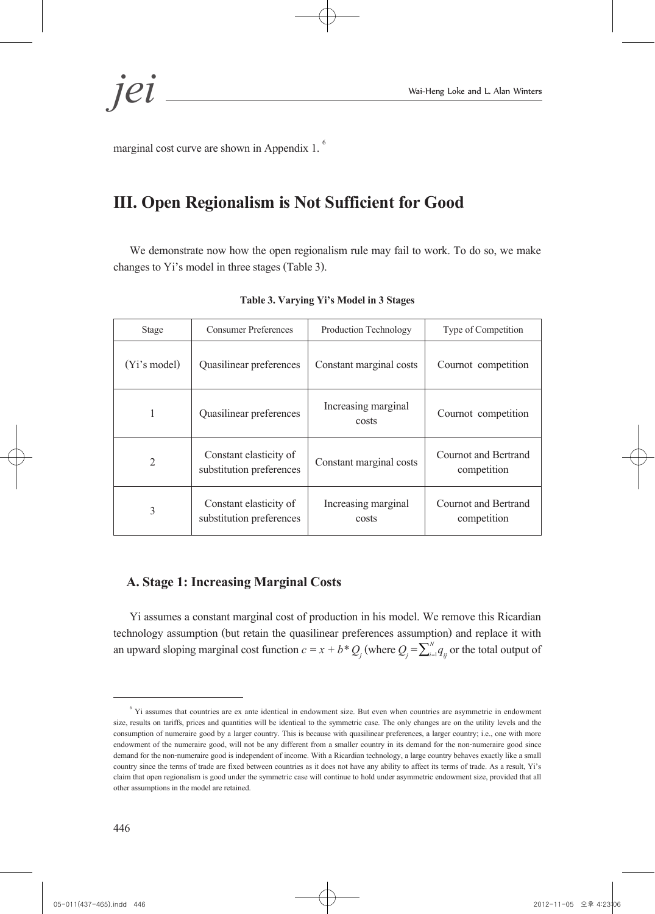*jei* Wai-Heng Loke and L. Alan Winters

marginal cost curve are shown in Appendix 1.<sup>6</sup>

# **III. Open Regionalism is Not Sufficient for Good**

We demonstrate now how the open regionalism rule may fail to work. To do so, we make changes to Yi's model in three stages (Table 3).

| Stage            | <b>Consumer Preferences</b>                        | Production Technology        | Type of Competition                 |  |
|------------------|----------------------------------------------------|------------------------------|-------------------------------------|--|
| $(Y_i$ 's model) | Quasilinear preferences                            | Constant marginal costs      | Cournot competition                 |  |
| 1                | Quasilinear preferences                            | Increasing marginal<br>costs | Cournot competition                 |  |
| $\overline{2}$   | Constant elasticity of<br>substitution preferences | Constant marginal costs      | Cournot and Bertrand<br>competition |  |
| 3                | Constant elasticity of<br>substitution preferences | Increasing marginal<br>costs | Cournot and Bertrand<br>competition |  |

**Table 3. Varying Yi's Model in 3 Stages**

### **A. Stage 1: Increasing Marginal Costs**

Yi assumes a constant marginal cost of production in his model. We remove this Ricardian technology assumption (but retain the quasilinear preferences assumption) and replace it with an upward sloping marginal cost function  $c = x + b * Q_j$  (where  $Q_j = \sum_{i=1}^N q_{ij}$  or the total output of

<sup>&</sup>lt;sup>6</sup> Yi assumes that countries are ex ante identical in endowment size. But even when countries are asymmetric in endowment size, results on tariffs, prices and quantities will be identical to the symmetric case. The only changes are on the utility levels and the consumption of numeraire good by a larger country. This is because with quasilinear preferences, a larger country; i.e., one with more endowment of the numeraire good, will not be any different from a smaller country in its demand for the non-numeraire good since demand for the non-numeraire good is independent of income. With a Ricardian technology, a large country behaves exactly like a small country since the terms of trade are fixed between countries as it does not have any ability to affect its terms of trade. As a result, Yi's claim that open regionalism is good under the symmetric case will continue to hold under asymmetric endowment size, provided that all other assumptions in the model are retained.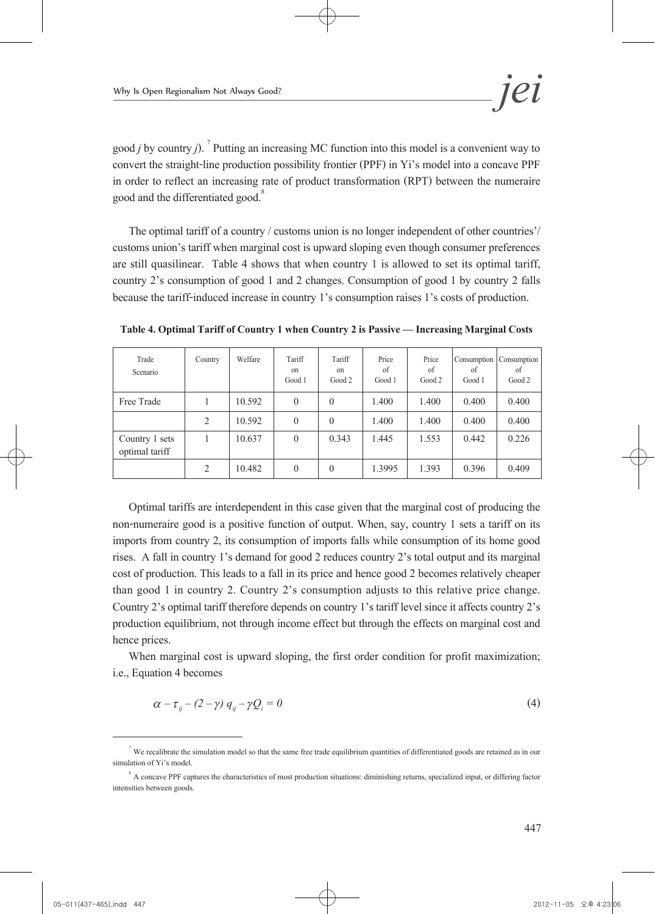good *j* by country *j*).<sup>7</sup> Putting an increasing MC function into this model is a convenient way to convert the straight-line production possibility frontier (PPF) in Yi's model into a concave PPF in order to reflect an increasing rate of product transformation (RPT) between the numeraire good and the differentiated good.<sup>8</sup>

The optimal tariff of a country / customs union is no longer independent of other countries'/ customs union's tariff when marginal cost is upward sloping even though consumer preferences are still quasilinear. Table 4 shows that when country 1 is allowed to set its optimal tariff, country 2's consumption of good 1 and 2 changes. Consumption of good 1 by country 2 falls because the tariff-induced increase in country 1's consumption raises 1's costs of production.

| Trade<br>Scenario                | Country        | Welfare | Tariff<br>on<br>Good 1 | Tariff<br>on<br>Good 2 | Price<br>of<br>Good 1 | Price<br>of<br>Good 2 | Consumption<br>of<br>Good 1 | Consumption<br>οf<br>Good 2 |
|----------------------------------|----------------|---------|------------------------|------------------------|-----------------------|-----------------------|-----------------------------|-----------------------------|
| Free Trade                       |                | 10.592  | $\theta$               | $\theta$               | 1.400                 | 1.400                 | 0.400                       | 0.400                       |
|                                  | $\overline{2}$ | 10.592  | $\theta$               | $\theta$               | 1.400                 | 1.400                 | 0.400                       | 0.400                       |
| Country 1 sets<br>optimal tariff |                | 10.637  | $\theta$               | 0.343                  | 1.445                 | 1.553                 | 0.442                       | 0.226                       |
|                                  | $\overline{2}$ | 10.482  | $\theta$               | $\theta$               | 1.3995                | 1.393                 | 0.396                       | 0.409                       |

**Table 4. Optimal Tariff of Country 1 when Country 2 is Passive — Increasing Marginal Costs**

Optimal tariffs are interdependent in this case given that the marginal cost of producing the non-numeraire good is a positive function of output. When, say, country 1 sets a tariff on its imports from country 2, its consumption of imports falls while consumption of its home good rises. A fall in country 1's demand for good 2 reduces country 2's total output and its marginal cost of production. This leads to a fall in its price and hence good 2 becomes relatively cheaper than good 1 in country 2. Country 2's consumption adjusts to this relative price change. Country 2's optimal tariff therefore depends on country 1's tariff level since it affects country 2's production equilibrium, not through income effect but through the effects on marginal cost and hence prices.

When marginal cost is upward sloping, the first order condition for profit maximization; i.e., Equation 4 becomes

$$
\alpha - \tau_{ij} - (2 - \gamma) q_{ij} - \gamma Q_i = 0 \tag{4}
$$

<sup>&</sup>lt;sup>7</sup> We recalibrate the simulation model so that the same free trade equilibrium quantities of differentiated goods are retained as in our simulation of Yi's model.

 $8$  A concave PPF captures the characteristics of most production situations: diminishing returns, specialized input, or differing factor intensities between goods.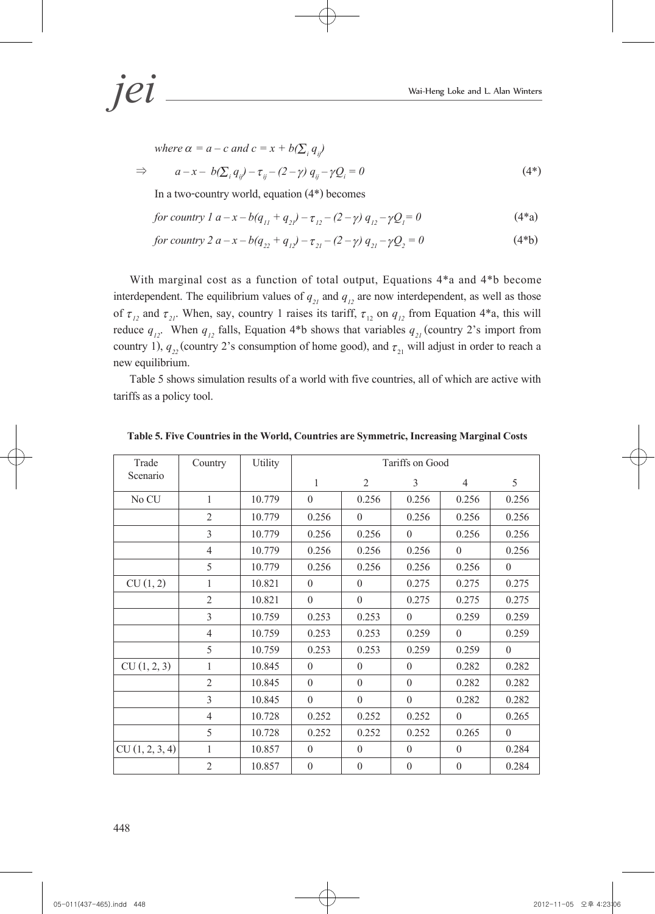*jei* Wai-Heng Loke and L. Alan Winters

*where*  $\alpha = a - c$  *and*  $c = x + b(\sum_i q_i)$  $\Rightarrow$   $a-x-b(\sum_i q_{ij})-\tau_{ij}-(2-\gamma)q_{ij}-\gamma Q_{ij}$  $\hat{e} = 0$  (4\*)

In a two-country world, equation (4\*) becomes

for country 1 
$$
a-x-b(q_{11}+q_{21})-\tau_{12}-(2-\gamma)q_{12}-\gamma Q_1=0
$$
 (4<sup>\*</sup>a)

*for country 2 a – x – b(q<sub>22</sub></sub> + q<sub>12</sub>) –*  $\tau_{21}$  *– (2 –*  $\gamma$ *)*  $q_{21}$  *–*  $\gamma Q_2$  *= 0 (4\*b)* 

With marginal cost as a function of total output, Equations 4\*a and 4\*b become interdependent. The equilibrium values of  $q_{21}$  and  $q_{12}$  are now interdependent, as well as those of  $\tau_{12}$  and  $\tau_{21}$ . When, say, country 1 raises its tariff,  $\tau_{12}$  on  $q_{12}$  from Equation 4\*a, this will reduce  $q_{12}$ . When  $q_{12}$  falls, Equation 4<sup>\*</sup>b shows that variables  $q_{21}$  (country 2's import from country 1),  $q_{22}$  (country 2's consumption of home good), and  $\tau_{21}$  will adjust in order to reach a new equilibrium.

Table 5 shows simulation results of a world with five countries, all of which are active with tariffs as a policy tool.

| Trade          | Country        | Utility |          |                  | Tariffs on Good |                |          |
|----------------|----------------|---------|----------|------------------|-----------------|----------------|----------|
| Scenario       |                |         | 1        | $\overline{2}$   | 3               | $\overline{4}$ | 5        |
| No CU          | 1              | 10.779  | $\theta$ | 0.256            | 0.256           | 0.256          | 0.256    |
|                | $\overline{2}$ | 10.779  | 0.256    | $\theta$         | 0.256           | 0.256          | 0.256    |
|                | $\overline{3}$ | 10.779  | 0.256    | 0.256            | $\theta$        | 0.256          | 0.256    |
|                | $\overline{4}$ | 10.779  | 0.256    | 0.256            | 0.256           | $\theta$       | 0.256    |
|                | 5              | 10.779  | 0.256    | 0.256            | 0.256           | 0.256          | $\theta$ |
| CU(1, 2)       | 1              | 10.821  | $\theta$ | $\theta$         | 0.275           | 0.275          | 0.275    |
|                | $\overline{2}$ | 10.821  | $\theta$ | $\theta$         | 0.275           | 0.275          | 0.275    |
|                | 3              | 10.759  | 0.253    | 0.253            | $\theta$        | 0.259          | 0.259    |
|                | $\overline{4}$ | 10.759  | 0.253    | 0.253            | 0.259           | $\Omega$       | 0.259    |
|                | 5              | 10.759  | 0.253    | 0.253            | 0.259           | 0.259          | $\theta$ |
| CU(1, 2, 3)    | 1              | 10.845  | $\theta$ | $\theta$         | $\theta$        | 0.282          | 0.282    |
|                | $\overline{2}$ | 10.845  | $\theta$ | $\theta$         | $\theta$        | 0.282          | 0.282    |
|                | 3              | 10.845  | $\theta$ | $\theta$         | $\theta$        | 0.282          | 0.282    |
|                | $\overline{4}$ | 10.728  | 0.252    | 0.252            | 0.252           | $\theta$       | 0.265    |
|                | 5              | 10.728  | 0.252    | 0.252            | 0.252           | 0.265          | $\theta$ |
| CU(1, 2, 3, 4) | 1              | 10.857  | $\theta$ | $\theta$         | $\theta$        | $\theta$       | 0.284    |
|                | $\overline{2}$ | 10.857  | $\theta$ | $\boldsymbol{0}$ | $\theta$        | $\theta$       | 0.284    |

**Table 5. Five Countries in the World, Countries are Symmetric, Increasing Marginal Costs**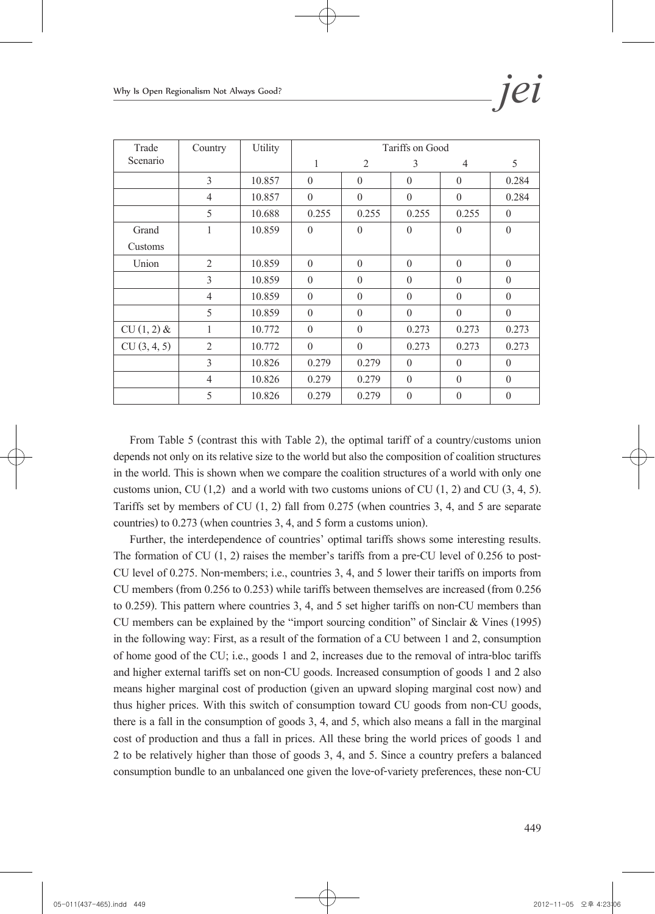| Trade        | Country        | Utility |          |                | Tariffs on Good |                |          |
|--------------|----------------|---------|----------|----------------|-----------------|----------------|----------|
| Scenario     |                |         | 1        | $\overline{2}$ | 3               | $\overline{4}$ | 5        |
|              | 3              | 10.857  | $\theta$ | $\theta$       | $\theta$        | $\theta$       | 0.284    |
|              | $\overline{4}$ | 10.857  | $\theta$ | $\theta$       | $\theta$        | $\theta$       | 0.284    |
|              | 5              | 10.688  | 0.255    | 0.255          | 0.255           | 0.255          | $\theta$ |
| Grand        | 1              | 10.859  | $\theta$ | $\theta$       | $\theta$        | $\theta$       | $\theta$ |
| Customs      |                |         |          |                |                 |                |          |
| Union        | $\overline{2}$ | 10.859  | $\theta$ | $\theta$       | $\theta$        | $\theta$       | $\theta$ |
|              | 3              | 10.859  | $\theta$ | $\theta$       | $\theta$        | $\theta$       | $\theta$ |
|              | $\overline{4}$ | 10.859  | $\theta$ | $\theta$       | $\theta$        | $\theta$       | $\theta$ |
|              | 5              | 10.859  | $\theta$ | $\theta$       | $\theta$        | $\theta$       | $\theta$ |
| $CU(1, 2)$ & | 1              | 10.772  | $\theta$ | $\theta$       | 0.273           | 0.273          | 0.273    |
| CU(3, 4, 5)  | 2              | 10.772  | $\theta$ | $\theta$       | 0.273           | 0.273          | 0.273    |
|              | 3              | 10.826  | 0.279    | 0.279          | $\theta$        | $\theta$       | $\theta$ |
|              | $\overline{4}$ | 10.826  | 0.279    | 0.279          | $\theta$        | $\theta$       | $\theta$ |
|              | 5              | 10.826  | 0.279    | 0.279          | $\theta$        | $\theta$       | $\theta$ |

From Table 5 (contrast this with Table 2), the optimal tariff of a country/customs union depends not only on its relative size to the world but also the composition of coalition structures in the world. This is shown when we compare the coalition structures of a world with only one customs union, CU  $(1,2)$  and a world with two customs unions of CU  $(1, 2)$  and CU  $(3, 4, 5)$ . Tariffs set by members of CU (1, 2) fall from 0.275 (when countries 3, 4, and 5 are separate countries) to 0.273 (when countries 3, 4, and 5 form a customs union).

Further, the interdependence of countries' optimal tariffs shows some interesting results. The formation of CU  $(1, 2)$  raises the member's tariffs from a pre-CU level of 0.256 to post-CU level of 0.275. Non-members; i.e., countries 3, 4, and 5 lower their tariffs on imports from CU members (from 0.256 to 0.253) while tariffs between themselves are increased (from 0.256 to 0.259). This pattern where countries 3, 4, and 5 set higher tariffs on non-CU members than CU members can be explained by the "import sourcing condition" of Sinclair & Vines (1995) in the following way: First, as a result of the formation of a CU between 1 and 2, consumption of home good of the CU; i.e., goods 1 and 2, increases due to the removal of intra-bloc tariffs and higher external tariffs set on non-CU goods. Increased consumption of goods 1 and 2 also means higher marginal cost of production (given an upward sloping marginal cost now) and thus higher prices. With this switch of consumption toward CU goods from non-CU goods, there is a fall in the consumption of goods 3, 4, and 5, which also means a fall in the marginal cost of production and thus a fall in prices. All these bring the world prices of goods 1 and 2 to be relatively higher than those of goods 3, 4, and 5. Since a country prefers a balanced consumption bundle to an unbalanced one given the love-of-variety preferences, these non-CU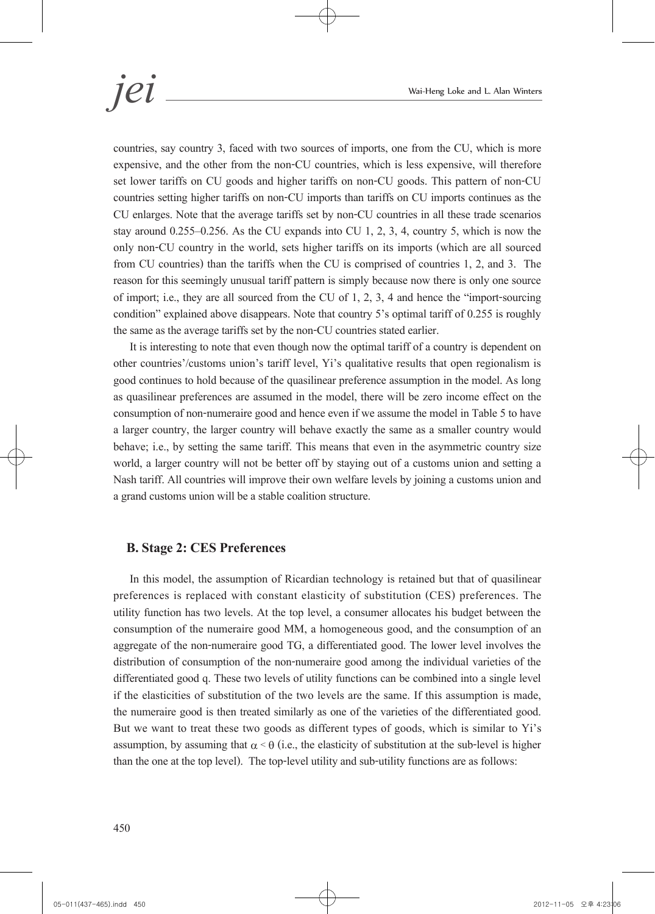countries, say country 3, faced with two sources of imports, one from the CU, which is more expensive, and the other from the non-CU countries, which is less expensive, will therefore set lower tariffs on CU goods and higher tariffs on non-CU goods. This pattern of non-CU countries setting higher tariffs on non-CU imports than tariffs on CU imports continues as the CU enlarges. Note that the average tariffs set by non-CU countries in all these trade scenarios stay around 0.255–0.256. As the CU expands into CU 1, 2, 3, 4, country 5, which is now the only non-CU country in the world, sets higher tariffs on its imports (which are all sourced from CU countries) than the tariffs when the CU is comprised of countries 1, 2, and 3. The reason for this seemingly unusual tariff pattern is simply because now there is only one source of import; i.e., they are all sourced from the CU of 1, 2, 3, 4 and hence the "import-sourcing condition" explained above disappears. Note that country 5's optimal tariff of 0.255 is roughly the same as the average tariffs set by the non-CU countries stated earlier.

It is interesting to note that even though now the optimal tariff of a country is dependent on other countries'/customs union's tariff level, Yi's qualitative results that open regionalism is good continues to hold because of the quasilinear preference assumption in the model. As long as quasilinear preferences are assumed in the model, there will be zero income effect on the consumption of non-numeraire good and hence even if we assume the model in Table 5 to have a larger country, the larger country will behave exactly the same as a smaller country would behave; i.e., by setting the same tariff. This means that even in the asymmetric country size world, a larger country will not be better off by staying out of a customs union and setting a Nash tariff. All countries will improve their own welfare levels by joining a customs union and a grand customs union will be a stable coalition structure.

#### **B. Stage 2: CES Preferences**

In this model, the assumption of Ricardian technology is retained but that of quasilinear preferences is replaced with constant elasticity of substitution (CES) preferences. The utility function has two levels. At the top level, a consumer allocates his budget between the consumption of the numeraire good MM, a homogeneous good, and the consumption of an aggregate of the non-numeraire good TG, a differentiated good. The lower level involves the distribution of consumption of the non-numeraire good among the individual varieties of the differentiated good q. These two levels of utility functions can be combined into a single level if the elasticities of substitution of the two levels are the same. If this assumption is made, the numeraire good is then treated similarly as one of the varieties of the differentiated good. But we want to treat these two goods as different types of goods, which is similar to Yi's assumption, by assuming that  $\alpha \leq \theta$  (i.e., the elasticity of substitution at the sub-level is higher than the one at the top level). The top-level utility and sub-utility functions are as follows: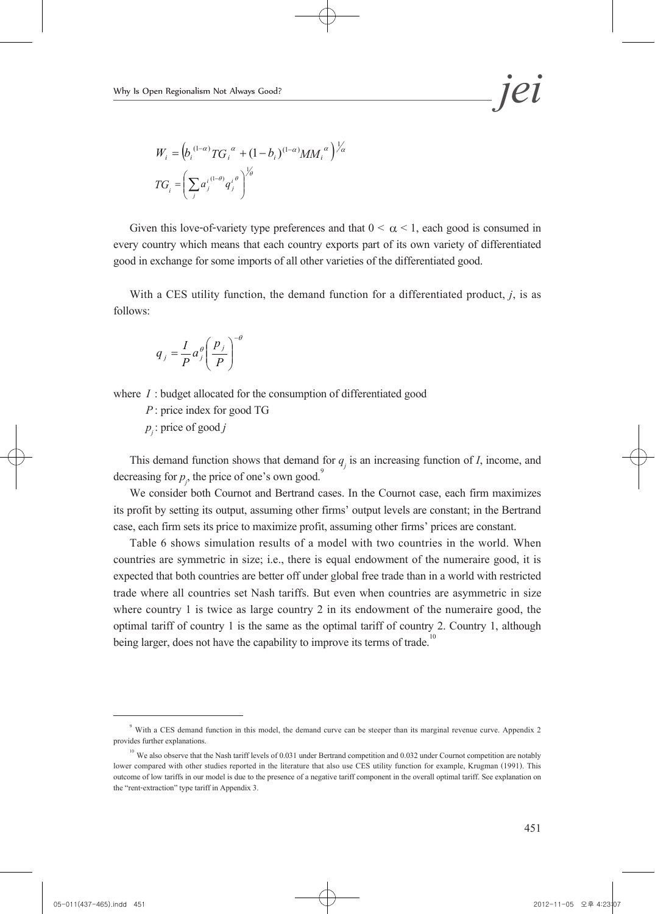$$
W_{i} = (b_{i}^{(1-\alpha)}TG_{i}^{~\alpha} + (1-b_{i})^{(1-\alpha)}MM_{i}^{~\alpha})^{\frac{1}{\alpha}}
$$

$$
TG_{i} = \left(\sum_{j} a_{j}^{i} {^{(1-\theta)}}q_{j}^{i} {^{(\theta)}}\right)^{\frac{1}{\beta}}
$$

Given this love-of-variety type preferences and that  $0 \le \alpha \le 1$ , each good is consumed in every country which means that each country exports part of its own variety of differentiated good in exchange for some imports of all other varieties of the differentiated good.

With a CES utility function, the demand function for a differentiated product, *j*, is as follows:

$$
q_j = \frac{I}{P} a_j^{\theta} \left( \frac{p_j}{P} \right)^{-\theta}
$$

where *I* : budget allocated for the consumption of differentiated good

*P* : price index for good TG  $p_i$ : price of good *j* 

This demand function shows that demand for  $q_j$  is an increasing function of *I*, income, and decreasing for  $p_j$ , the price of one's own good.<sup>9</sup>

We consider both Cournot and Bertrand cases. In the Cournot case, each firm maximizes its profit by setting its output, assuming other firms' output levels are constant; in the Bertrand case, each firm sets its price to maximize profit, assuming other firms' prices are constant.

Table 6 shows simulation results of a model with two countries in the world. When countries are symmetric in size; i.e., there is equal endowment of the numeraire good, it is expected that both countries are better off under global free trade than in a world with restricted trade where all countries set Nash tariffs. But even when countries are asymmetric in size where country 1 is twice as large country 2 in its endowment of the numeraire good, the optimal tariff of country 1 is the same as the optimal tariff of country 2. Country 1, although being larger, does not have the capability to improve its terms of trade.

<sup>&</sup>lt;sup>9</sup> With a CES demand function in this model, the demand curve can be steeper than its marginal revenue curve. Appendix 2 provides further explanations.

<sup>&</sup>lt;sup>10</sup> We also observe that the Nash tariff levels of 0.031 under Bertrand competition and 0.032 under Cournot competition are notably lower compared with other studies reported in the literature that also use CES utility function for example, Krugman (1991). This outcome of low tariffs in our model is due to the presence of a negative tariff component in the overall optimal tariff. See explanation on the "rent-extraction" type tariff in Appendix 3.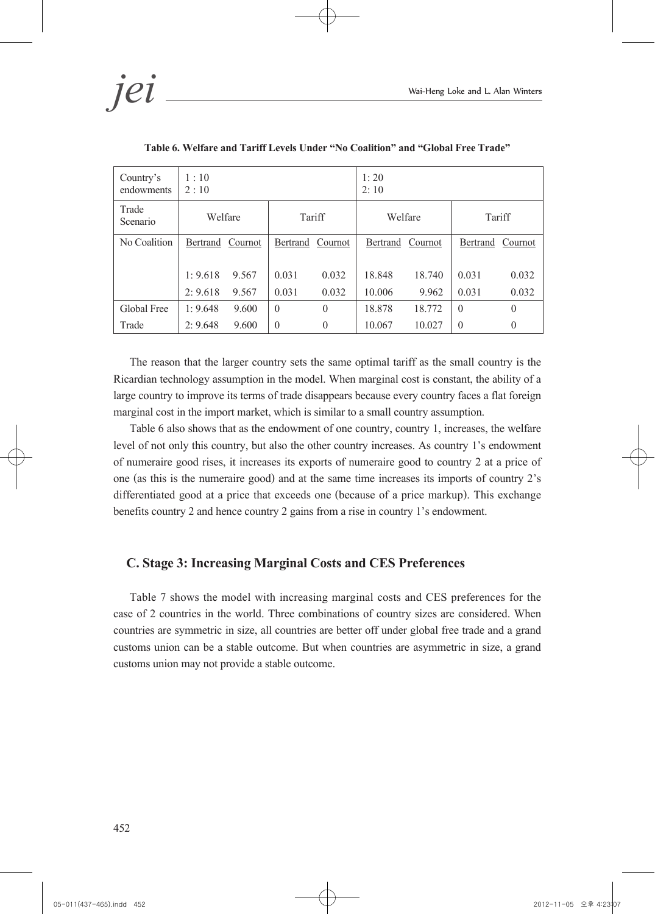*jei* Wai-Heng Loke and L. Alan Winters

| Country's<br>endowments | 1:10<br>2:10 |         |          | 1:20<br>2:10 |          |         |          |          |
|-------------------------|--------------|---------|----------|--------------|----------|---------|----------|----------|
| Trade<br>Scenario       | Welfare      |         | Tariff   |              | Welfare  |         | Tariff   |          |
| No Coalition            | Bertrand     | Cournot | Bertrand | Cournot      | Bertrand | Cournot | Bertrand | Cournot  |
|                         |              |         |          |              |          |         |          |          |
|                         | 1:9.618      | 9.567   | 0.031    | 0.032        | 18.848   | 18.740  | 0.031    | 0.032    |
|                         | 2:9.618      | 9.567   | 0.031    | 0.032        | 10.006   | 9.962   | 0.031    | 0.032    |
| Global Free             | 1:9.648      | 9.600   | $\theta$ | $\theta$     | 18.878   | 18.772  | $\theta$ | $\theta$ |
| Trade                   | 2:9.648      | 9.600   | $\theta$ | $\theta$     | 10.067   | 10.027  | $\theta$ | $\theta$ |

**Table 6. Welfare and Tariff Levels Under "No Coalition" and "Global Free Trade"** 

The reason that the larger country sets the same optimal tariff as the small country is the Ricardian technology assumption in the model. When marginal cost is constant, the ability of a large country to improve its terms of trade disappears because every country faces a flat foreign marginal cost in the import market, which is similar to a small country assumption.

Table 6 also shows that as the endowment of one country, country 1, increases, the welfare level of not only this country, but also the other country increases. As country 1's endowment of numeraire good rises, it increases its exports of numeraire good to country 2 at a price of one (as this is the numeraire good) and at the same time increases its imports of country 2's differentiated good at a price that exceeds one (because of a price markup). This exchange benefits country 2 and hence country 2 gains from a rise in country 1's endowment.

#### **C. Stage 3: Increasing Marginal Costs and CES Preferences**

Table 7 shows the model with increasing marginal costs and CES preferences for the case of 2 countries in the world. Three combinations of country sizes are considered. When countries are symmetric in size, all countries are better off under global free trade and a grand customs union can be a stable outcome. But when countries are asymmetric in size, a grand customs union may not provide a stable outcome.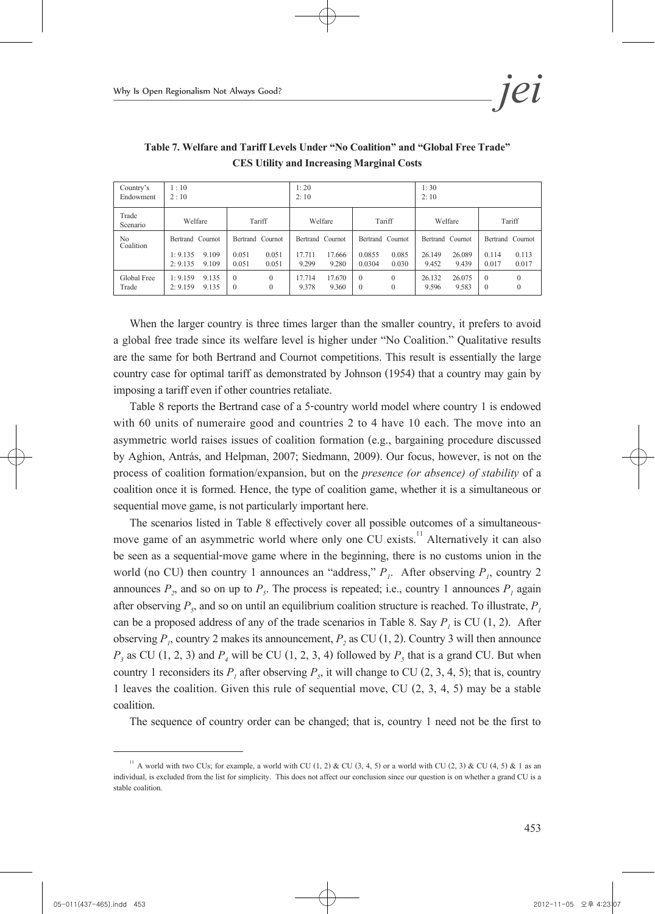| Country's<br>Endowment      | 1:10<br>2:10                                              |                                                      | 1:20<br>2:10                                           |                                                        | 1:30<br>2:10                                           |                                                      |  |
|-----------------------------|-----------------------------------------------------------|------------------------------------------------------|--------------------------------------------------------|--------------------------------------------------------|--------------------------------------------------------|------------------------------------------------------|--|
| Trade<br>Scenario           | Welfare                                                   | Tariff                                               | Welfare                                                | Tariff                                                 | Welfare                                                | Tariff                                               |  |
| N <sub>0</sub><br>Coalition | Bertrand Cournot<br>1:9.135<br>9.109<br>2: 9.135<br>9.109 | Bertrand Cournot<br>0.051<br>0.051<br>0.051<br>0.051 | Bertrand Cournot<br>17.711<br>17.666<br>9.299<br>9.280 | Bertrand Cournot<br>0.0855<br>0.085<br>0.0304<br>0.030 | Bertrand Cournot<br>26.089<br>26.149<br>9.452<br>9.439 | Bertrand Cournot<br>0.113<br>0.114<br>0.017<br>0.017 |  |
| Global Free<br>Trade        | 9.135<br>1:9.159<br>2: 9.159<br>9.135                     | $\theta$<br>$\Omega$<br>$\Omega$<br>$\left($         | 17.714<br>17.670<br>9.378<br>9.360                     | $\theta$<br>$\Omega$<br>$\theta$<br>$\theta$           | 26.132<br>26.075<br>9.596<br>9.583                     | $\theta$<br>$\theta$                                 |  |

**Table 7. Welfare and Tariff Levels Under "No Coalition" and "Global Free Trade" CES Utility and Increasing Marginal Costs**

When the larger country is three times larger than the smaller country, it prefers to avoid a global free trade since its welfare level is higher under "No Coalition." Qualitative results are the same for both Bertrand and Cournot competitions. This result is essentially the large country case for optimal tariff as demonstrated by Johnson (1954) that a country may gain by imposing a tariff even if other countries retaliate.

Table 8 reports the Bertrand case of a 5-country world model where country 1 is endowed with 60 units of numeraire good and countries 2 to 4 have 10 each. The move into an asymmetric world raises issues of coalition formation (e.g., bargaining procedure discussed by Aghion, Antrás, and Helpman, 2007; Siedmann, 2009). Our focus, however, is not on the process of coalition formation/expansion, but on the *presence (or absence) of stability* of a coalition once it is formed. Hence, the type of coalition game, whether it is a simultaneous or sequential move game, is not particularly important here.

The scenarios listed in Table 8 effectively cover all possible outcomes of a simultaneousmove game of an asymmetric world where only one CU exists.<sup>11</sup> Alternatively it can also be seen as a sequential-move game where in the beginning, there is no customs union in the world (no CU) then country 1 announces an "address,"  $P_i$ . After observing  $P_i$ , country 2 announces  $P_2$ , and so on up to  $P_5$ . The process is repeated; i.e., country 1 announces  $P_1$  again after observing  $P_5$ , and so on until an equilibrium coalition structure is reached. To illustrate,  $P_1$ can be a proposed address of any of the trade scenarios in Table 8. Say  $P<sub>i</sub>$  is CU (1, 2). After observing  $P<sub>p</sub>$ , country 2 makes its announcement,  $P<sub>2</sub>$  as CU (1, 2). Country 3 will then announce  $P_3$  as CU (1, 2, 3) and  $P_4$  will be CU (1, 2, 3, 4) followed by  $P_5$  that is a grand CU. But when country 1 reconsiders its  $P_1$  after observing  $P_5$ , it will change to CU (2, 3, 4, 5); that is, country 1 leaves the coalition. Given this rule of sequential move, CU (2, 3, 4, 5) may be a stable coalition.

The sequence of country order can be changed; that is, country 1 need not be the first to

<sup>&</sup>lt;sup>11</sup> A world with two CUs; for example, a world with CU  $(1, 2)$  & CU  $(3, 4, 5)$  or a world with CU  $(2, 3)$  & CU  $(4, 5)$  & 1 as an individual, is excluded from the list for simplicity. This does not affect our conclusion since our question is on whether a grand CU is a stable coalition.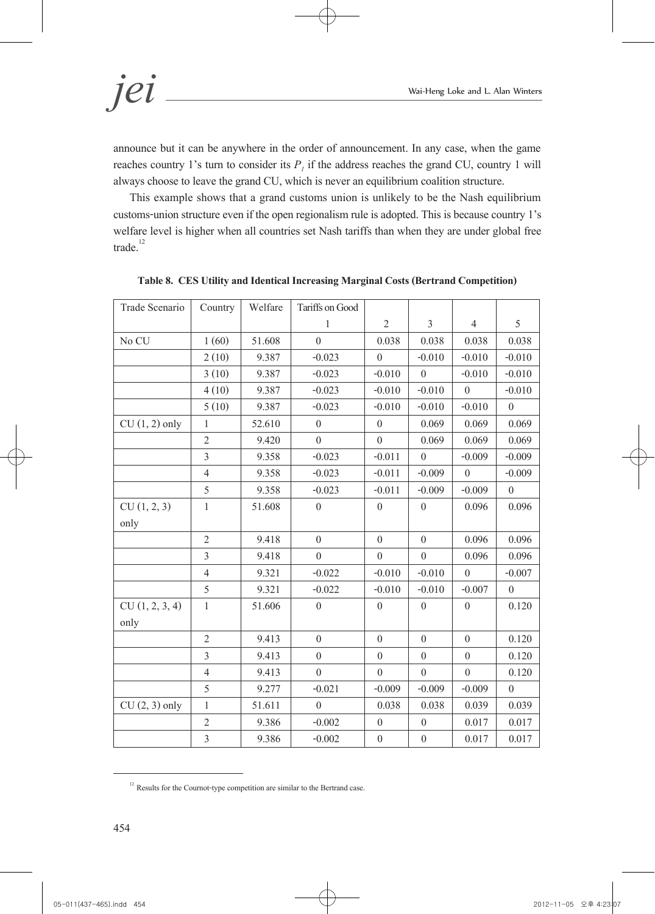*jei* Wai-Heng Loke and L. Alan Winters

announce but it can be anywhere in the order of announcement. In any case, when the game reaches country 1's turn to consider its  $P<sub>i</sub>$  if the address reaches the grand CU, country 1 will always choose to leave the grand CU, which is never an equilibrium coalition structure.

This example shows that a grand customs union is unlikely to be the Nash equilibrium customs-union structure even if the open regionalism rule is adopted. This is because country 1's welfare level is higher when all countries set Nash tariffs than when they are under global free trade. $12$ 

| Trade Scenario  | Country        | Welfare | Tariffs on Good  |                  |                  |                  |                  |
|-----------------|----------------|---------|------------------|------------------|------------------|------------------|------------------|
|                 |                |         | 1                | $\overline{2}$   | $\mathfrak{Z}$   | $\overline{4}$   | 5                |
| No CU           | 1(60)          | 51.608  | $\theta$         | 0.038            | 0.038            | 0.038            | 0.038            |
|                 | 2(10)          | 9.387   | $-0.023$         | $\theta$         | $-0.010$         | $-0.010$         | $-0.010$         |
|                 | 3(10)          | 9.387   | $-0.023$         | $-0.010$         | $\boldsymbol{0}$ | $-0.010$         | $-0.010$         |
|                 | 4(10)          | 9.387   | $-0.023$         | $-0.010$         | $-0.010$         | $\Omega$         | $-0.010$         |
|                 | 5(10)          | 9.387   | $-0.023$         | $-0.010$         | $-0.010$         | $-0.010$         | $\theta$         |
| $CU(1, 2)$ only | $\mathbf{1}$   | 52.610  | $\boldsymbol{0}$ | $\overline{0}$   | 0.069            | 0.069            | 0.069            |
|                 | $\overline{2}$ | 9.420   | $\boldsymbol{0}$ | $\boldsymbol{0}$ | 0.069            | 0.069            | 0.069            |
|                 | $\overline{3}$ | 9.358   | $-0.023$         | $-0.011$         | $\theta$         | $-0.009$         | $-0.009$         |
|                 | $\overline{4}$ | 9.358   | $-0.023$         | $-0.011$         | $-0.009$         | $\theta$         | $-0.009$         |
|                 | 5              | 9.358   | $-0.023$         | $-0.011$         | $-0.009$         | $-0.009$         | $\boldsymbol{0}$ |
| CU(1, 2, 3)     | $\mathbf{1}$   | 51.608  | $\boldsymbol{0}$ | $\theta$         | $\theta$         | 0.096            | 0.096            |
| only            |                |         |                  |                  |                  |                  |                  |
|                 | $\overline{2}$ | 9.418   | $\boldsymbol{0}$ | $\overline{0}$   | $\overline{0}$   | 0.096            | 0.096            |
|                 | 3              | 9.418   | $\boldsymbol{0}$ | $\theta$         | $\theta$         | 0.096            | 0.096            |
|                 | $\overline{4}$ | 9.321   | $-0.022$         | $-0.010$         | $-0.010$         | $\theta$         | $-0.007$         |
|                 | 5              | 9.321   | $-0.022$         | $-0.010$         | $-0.010$         | $-0.007$         | $\theta$         |
| CU(1, 2, 3, 4)  | $\mathbf{1}$   | 51.606  | $\boldsymbol{0}$ | $\theta$         | $\boldsymbol{0}$ | $\boldsymbol{0}$ | 0.120            |
| only            |                |         |                  |                  |                  |                  |                  |
|                 | $\overline{2}$ | 9.413   | $\boldsymbol{0}$ | $\boldsymbol{0}$ | $\boldsymbol{0}$ | $\boldsymbol{0}$ | 0.120            |
|                 | $\overline{3}$ | 9.413   | $\boldsymbol{0}$ | $\boldsymbol{0}$ | $\overline{0}$   | $\boldsymbol{0}$ | 0.120            |
|                 | $\overline{4}$ | 9.413   | $\boldsymbol{0}$ | $\theta$         | $\boldsymbol{0}$ | $\boldsymbol{0}$ | 0.120            |
|                 | 5              | 9.277   | $-0.021$         | $-0.009$         | $-0.009$         | $-0.009$         | $\boldsymbol{0}$ |
| $CU(2, 3)$ only | $\mathbf{1}$   | 51.611  | $\boldsymbol{0}$ | 0.038            | 0.038            | 0.039            | 0.039            |
|                 | $\sqrt{2}$     | 9.386   | $-0.002$         | $\theta$         | $\theta$         | 0.017            | 0.017            |
|                 | $\overline{3}$ | 9.386   | $-0.002$         | $\boldsymbol{0}$ | $\boldsymbol{0}$ | 0.017            | 0.017            |

**Table 8. CES Utility and Identical Increasing Marginal Costs (Bertrand Competition)**

 $12$  Results for the Cournot-type competition are similar to the Bertrand case.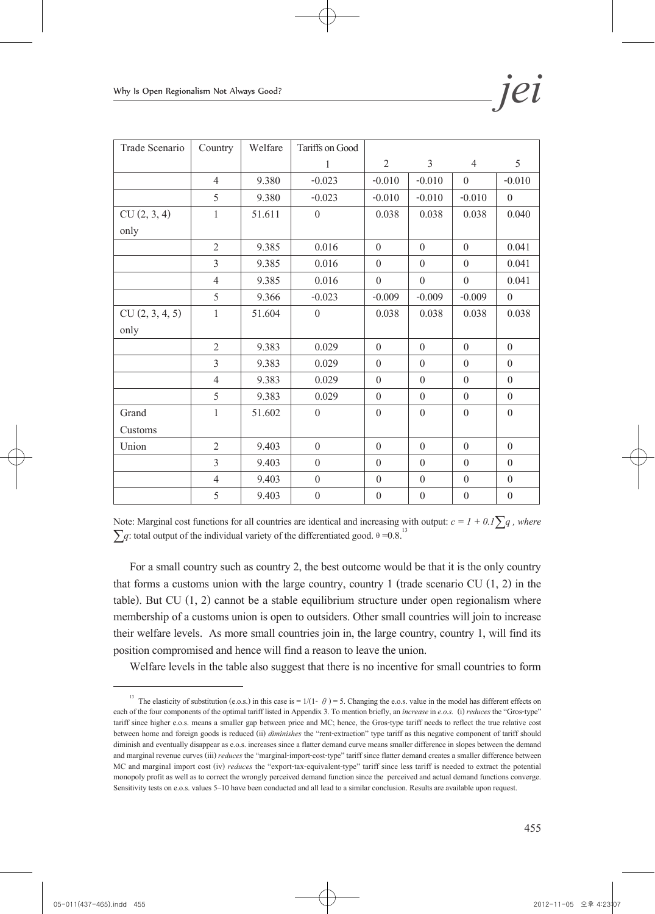| Trade Scenario | Country        | Welfare | Tariffs on Good  |                  |                  |                  |                  |
|----------------|----------------|---------|------------------|------------------|------------------|------------------|------------------|
|                |                |         | 1                | $\overline{2}$   | $\overline{3}$   | $\overline{4}$   | 5                |
|                | $\overline{4}$ | 9.380   | $-0.023$         | $-0.010$         | $-0.010$         | $\theta$         | $-0.010$         |
|                | 5              | 9.380   | $-0.023$         | $-0.010$         | $-0.010$         | $-0.010$         | $\theta$         |
| CU(2, 3, 4)    | 1              | 51.611  | $\theta$         | 0.038            | 0.038            | 0.038            | 0.040            |
| only           |                |         |                  |                  |                  |                  |                  |
|                | $\overline{2}$ | 9.385   | 0.016            | $\theta$         | $\theta$         | $\theta$         | 0.041            |
|                | 3              | 9.385   | 0.016            | $\theta$         | $\theta$         | $\theta$         | 0.041            |
|                | $\overline{4}$ | 9.385   | 0.016            | $\theta$         | $\theta$         | $\theta$         | 0.041            |
|                | 5              | 9.366   | $-0.023$         | $-0.009$         | $-0.009$         | $-0.009$         | $\theta$         |
| CU(2, 3, 4, 5) | $\mathbf{1}$   | 51.604  | $\theta$         | 0.038            | 0.038            | 0.038            | 0.038            |
| only           |                |         |                  |                  |                  |                  |                  |
|                | $\overline{2}$ | 9.383   | 0.029            | $\theta$         | $\theta$         | $\theta$         | $\theta$         |
|                | $\overline{3}$ | 9.383   | 0.029            | $\theta$         | $\theta$         | $\theta$         | $\theta$         |
|                | $\overline{4}$ | 9.383   | 0.029            | $\theta$         | $\theta$         | $\theta$         | $\theta$         |
|                | 5              | 9.383   | 0.029            | $\theta$         | $\theta$         | $\theta$         | $\theta$         |
| Grand          | $\mathbf{1}$   | 51.602  | $\theta$         | $\theta$         | $\theta$         | $\theta$         | $\theta$         |
| Customs        |                |         |                  |                  |                  |                  |                  |
| Union          | $\overline{2}$ | 9.403   | $\theta$         | $\theta$         | $\theta$         | $\theta$         | $\theta$         |
|                | $\overline{3}$ | 9.403   | $\overline{0}$   | $\theta$         | $\boldsymbol{0}$ | $\theta$         | $\theta$         |
|                | $\overline{4}$ | 9.403   | $\boldsymbol{0}$ | $\boldsymbol{0}$ | $\boldsymbol{0}$ | $\boldsymbol{0}$ | $\boldsymbol{0}$ |
|                | 5              | 9.403   | $\boldsymbol{0}$ | $\boldsymbol{0}$ | $\boldsymbol{0}$ | $\boldsymbol{0}$ | $\boldsymbol{0}$ |

Note: Marginal cost functions for all countries are identical and increasing with output:  $c = 1 + 0.1\sum q$ , where  $\sum q$ : total output of the individual variety of the differentiated good.  $\theta = 0.8$ <sup>13</sup>

For a small country such as country 2, the best outcome would be that it is the only country that forms a customs union with the large country, country 1 (trade scenario CU  $(1, 2)$  in the table). But CU (1, 2) cannot be a stable equilibrium structure under open regionalism where membership of a customs union is open to outsiders. Other small countries will join to increase their welfare levels. As more small countries join in, the large country, country 1, will find its position compromised and hence will find a reason to leave the union.

Welfare levels in the table also suggest that there is no incentive for small countries to form

<sup>&</sup>lt;sup>13</sup> The elasticity of substitution (e.o.s.) in this case is =  $1/(1- \theta)$  = 5. Changing the e.o.s. value in the model has different effects on each of the four components of the optimal tariff listed in Appendix 3. To mention briefly, an *increase* in *e.o.s.* (i) *reduces* the "Gros-type" tariff since higher e.o.s. means a smaller gap between price and MC; hence, the Gros-type tariff needs to reflect the true relative cost between home and foreign goods is reduced (ii) *diminishes* the "rent-extraction" type tariff as this negative component of tariff should diminish and eventually disappear as e.o.s. increases since a flatter demand curve means smaller difference in slopes between the demand and marginal revenue curves (iii) *reduces* the "marginal-import-cost-type" tariff since flatter demand creates a smaller difference between MC and marginal import cost (iv) *reduces* the "export-tax-equivalent-type" tariff since less tariff is needed to extract the potential monopoly profit as well as to correct the wrongly perceived demand function since the perceived and actual demand functions converge. Sensitivity tests on e.o.s. values 5–10 have been conducted and all lead to a similar conclusion. Results are available upon request.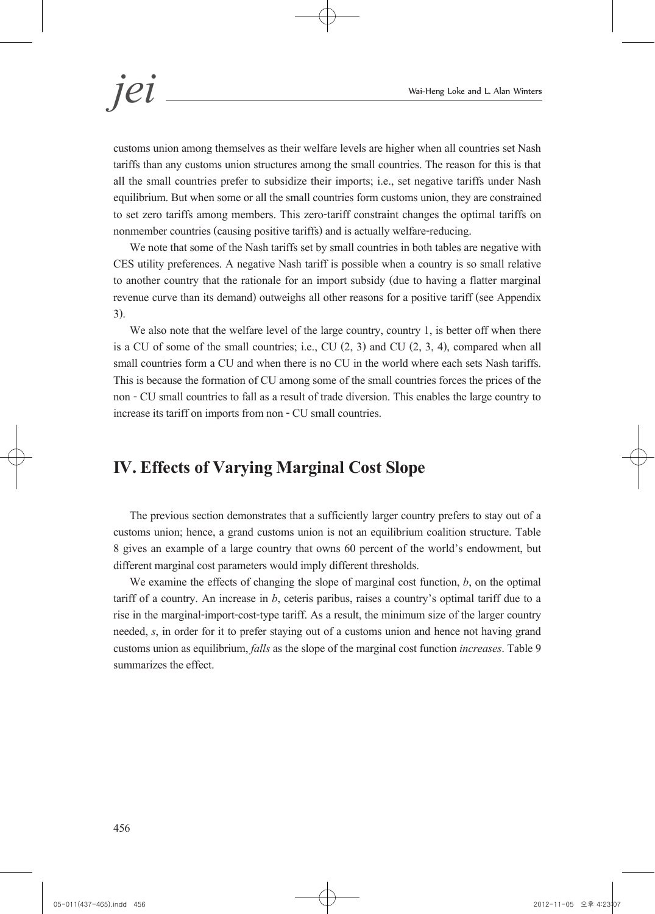customs union among themselves as their welfare levels are higher when all countries set Nash tariffs than any customs union structures among the small countries. The reason for this is that all the small countries prefer to subsidize their imports; i.e., set negative tariffs under Nash equilibrium. But when some or all the small countries form customs union, they are constrained to set zero tariffs among members. This zero-tariff constraint changes the optimal tariffs on nonmember countries (causing positive tariffs) and is actually welfare-reducing.

We note that some of the Nash tariffs set by small countries in both tables are negative with CES utility preferences. A negative Nash tariff is possible when a country is so small relative to another country that the rationale for an import subsidy (due to having a flatter marginal revenue curve than its demand) outweighs all other reasons for a positive tariff (see Appendix 3).

We also note that the welfare level of the large country, country 1, is better off when there is a CU of some of the small countries; i.e., CU  $(2, 3)$  and CU  $(2, 3, 4)$ , compared when all small countries form a CU and when there is no CU in the world where each sets Nash tariffs. This is because the formation of CU among some of the small countries forces the prices of the non - CU small countries to fall as a result of trade diversion. This enables the large country to increase its tariff on imports from non - CU small countries.

# **IV. Effects of Varying Marginal Cost Slope**

The previous section demonstrates that a sufficiently larger country prefers to stay out of a customs union; hence, a grand customs union is not an equilibrium coalition structure. Table 8 gives an example of a large country that owns 60 percent of the world's endowment, but different marginal cost parameters would imply different thresholds.

We examine the effects of changing the slope of marginal cost function, *b*, on the optimal tariff of a country. An increase in *b*, ceteris paribus, raises a country's optimal tariff due to a rise in the marginal-import-cost-type tariff. As a result, the minimum size of the larger country needed, *s*, in order for it to prefer staying out of a customs union and hence not having grand customs union as equilibrium, *falls* as the slope of the marginal cost function *increases*. Table 9 summarizes the effect.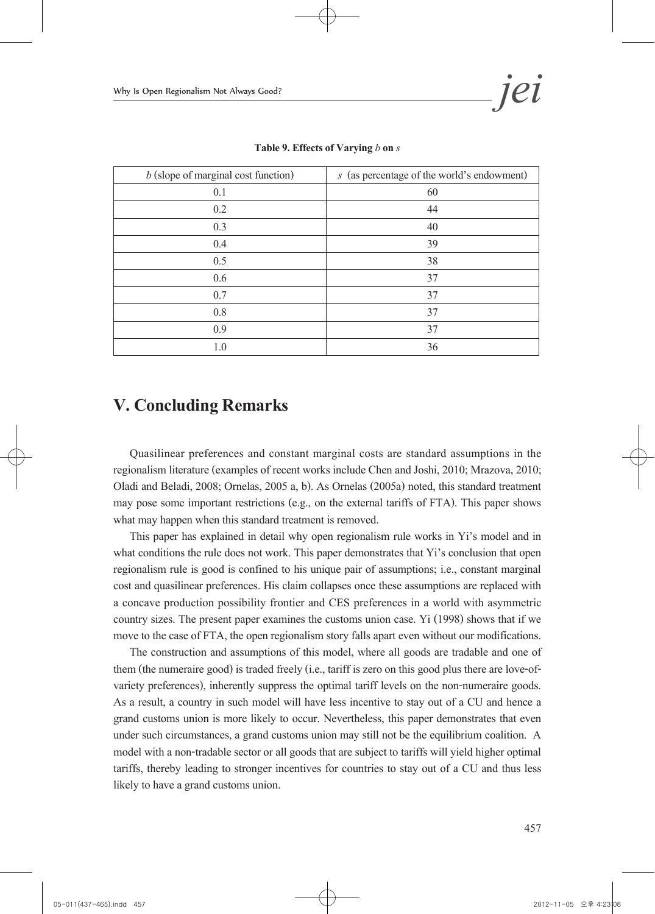| $b$ (slope of marginal cost function) | s (as percentage of the world's endowment) |
|---------------------------------------|--------------------------------------------|
| 0.1                                   | 60                                         |
| 0.2                                   | 44                                         |
| 0.3                                   | 40                                         |
| 0.4                                   | 39                                         |
| 0.5                                   | 38                                         |
| 0.6                                   | 37                                         |
| 0.7                                   | 37                                         |
| 0.8                                   | 37                                         |
| 0.9                                   | 37                                         |
| 1.0                                   | 36                                         |

**Table 9. Effects of Varying** *b* **on** *s*

# **V. Concluding Remarks**

Quasilinear preferences and constant marginal costs are standard assumptions in the regionalism literature (examples of recent works include Chen and Joshi, 2010; Mrazova, 2010; Oladi and Beladi, 2008; Ornelas, 2005 a, b). As Ornelas (2005a) noted, this standard treatment may pose some important restrictions (e.g., on the external tariffs of FTA). This paper shows what may happen when this standard treatment is removed.

This paper has explained in detail why open regionalism rule works in Yi's model and in what conditions the rule does not work. This paper demonstrates that Yi's conclusion that open regionalism rule is good is confined to his unique pair of assumptions; i.e., constant marginal cost and quasilinear preferences. His claim collapses once these assumptions are replaced with a concave production possibility frontier and CES preferences in a world with asymmetric country sizes. The present paper examines the customs union case. Yi (1998) shows that if we move to the case of FTA, the open regionalism story falls apart even without our modifications.

The construction and assumptions of this model, where all goods are tradable and one of them (the numeraire good) is traded freely (i.e., tariff is zero on this good plus there are love-ofvariety preferences), inherently suppress the optimal tariff levels on the non-numeraire goods. As a result, a country in such model will have less incentive to stay out of a CU and hence a grand customs union is more likely to occur. Nevertheless, this paper demonstrates that even under such circumstances, a grand customs union may still not be the equilibrium coalition. A model with a non-tradable sector or all goods that are subject to tariffs will yield higher optimal tariffs, thereby leading to stronger incentives for countries to stay out of a CU and thus less likely to have a grand customs union.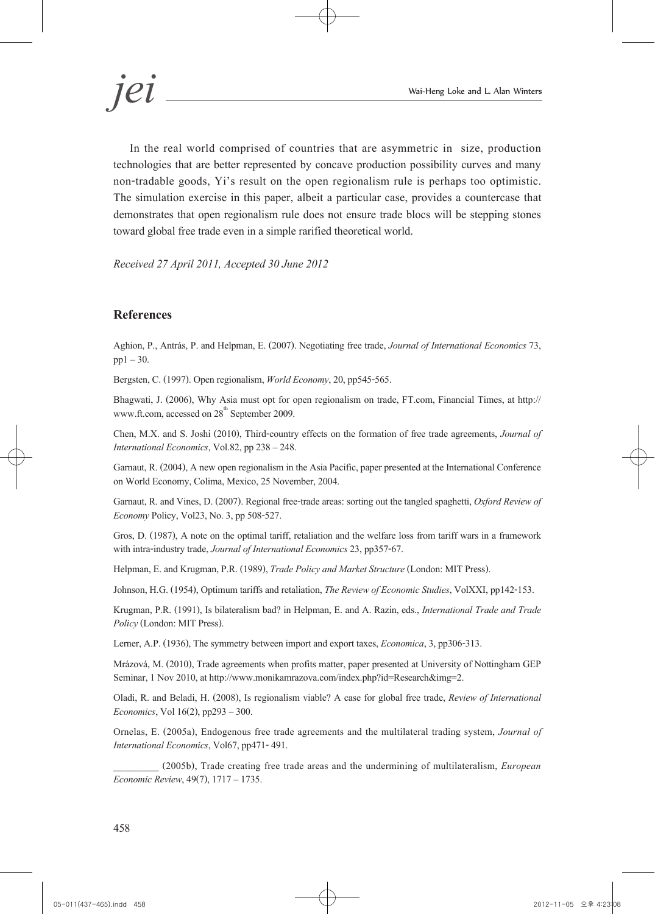In the real world comprised of countries that are asymmetric in size, production technologies that are better represented by concave production possibility curves and many non-tradable goods, Yi's result on the open regionalism rule is perhaps too optimistic. The simulation exercise in this paper, albeit a particular case, provides a countercase that demonstrates that open regionalism rule does not ensure trade blocs will be stepping stones toward global free trade even in a simple rarified theoretical world.

*Received 27 April 2011, Accepted 30 June 2012*

### **References**

Aghion, P., Antrás, P. and Helpman, E. (2007). Negotiating free trade, *Journal of International Economics* 73,  $pp1 - 30$ .

Bergsten, C. (1997). Open regionalism, *World Economy*, 20, pp545-565.

Bhagwati, J. (2006), Why Asia must opt for open regionalism on trade, FT.com, Financial Times, at http:// www.ft.com, accessed on  $28<sup>th</sup>$  September 2009.

Chen, M.X. and S. Joshi (2010), Third-country effects on the formation of free trade agreements, *Journal of International Economics*, Vol.82, pp 238 – 248.

Garnaut, R. (2004), A new open regionalism in the Asia Pacific, paper presented at the International Conference on World Economy, Colima, Mexico, 25 November, 2004.

Garnaut, R. and Vines, D. (2007). Regional free-trade areas: sorting out the tangled spaghetti, *Oxford Review of Economy* Policy, Vol23, No. 3, pp 508-527.

Gros, D. (1987), A note on the optimal tariff, retaliation and the welfare loss from tariff wars in a framework with intra-industry trade, *Journal of International Economics* 23, pp357-67.

Helpman, E. and Krugman, P.R. (1989), *Trade Policy and Market Structure* (London: MIT Press).

Johnson, H.G. (1954), Optimum tariffs and retaliation, *The Review of Economic Studies*, VolXXI, pp142-153.

Krugman, P.R. (1991), Is bilateralism bad? in Helpman, E. and A. Razin, eds., *International Trade and Trade Policy* (London: MIT Press).

Lerner, A.P. (1936), The symmetry between import and export taxes, *Economica*, 3, pp306-313.

Mrázová, M. (2010), Trade agreements when profits matter, paper presented at University of Nottingham GEP Seminar, 1 Nov 2010, at http://www.monikamrazova.com/index.php?id=Research&img=2.

Oladi, R. and Beladi, H. (2008), Is regionalism viable? A case for global free trade, *Review of International Economics*, Vol 16(2), pp293 – 300.

Ornelas, E. (2005a), Endogenous free trade agreements and the multilateral trading system, *Journal of International Economics*, Vol67, pp471- 491.

\_\_\_\_\_\_\_\_\_ (2005b), Trade creating free trade areas and the undermining of multilateralism, *European Economic Review*, 49(7), 1717 – 1735.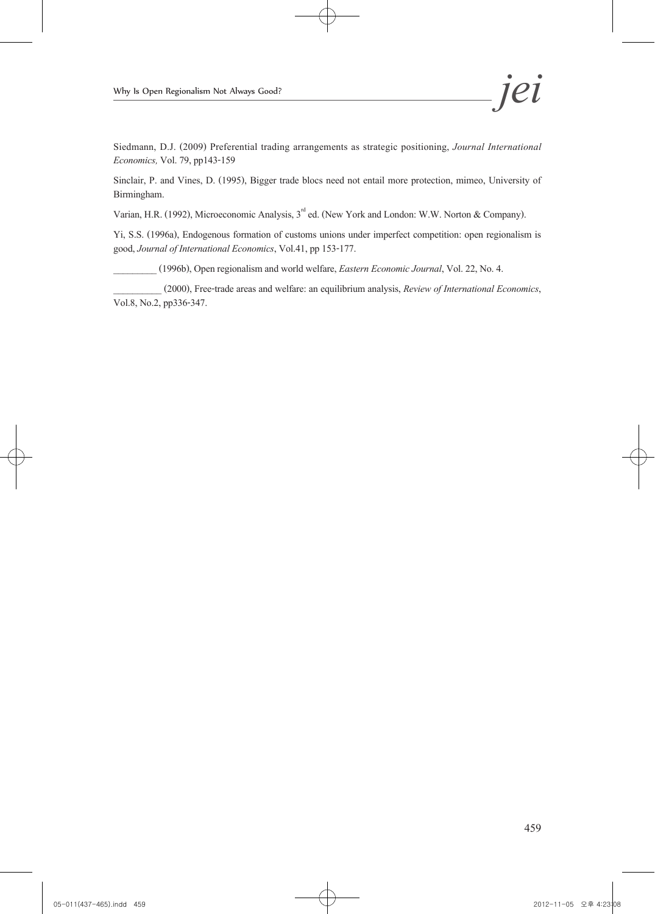Siedmann, D.J. (2009) Preferential trading arrangements as strategic positioning, *Journal International Economics,* Vol. 79, pp143-159

Sinclair, P. and Vines, D. (1995), Bigger trade blocs need not entail more protection, mimeo, University of Birmingham.

Varian, H.R. (1992), Microeconomic Analysis, 3<sup>rd</sup> ed. (New York and London: W.W. Norton & Company).

Yi, S.S. (1996a), Endogenous formation of customs unions under imperfect competition: open regionalism is good, *Journal of International Economics*, Vol.41, pp 153-177.

\_\_\_\_\_\_\_\_\_ (1996b), Open regionalism and world welfare, *Eastern Economic Journal*, Vol. 22, No. 4.

\_\_\_\_\_\_\_\_\_\_ (2000), Free-trade areas and welfare: an equilibrium analysis, *Review of International Economics*, Vol.8, No.2, pp336-347.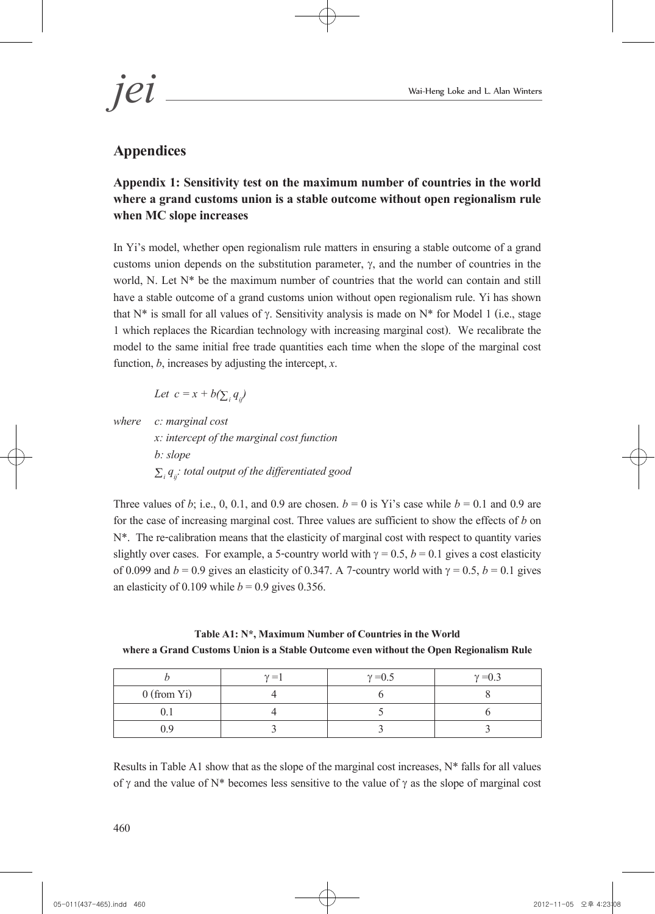# **Appendices**

# **Appendix 1: Sensitivity test on the maximum number of countries in the world where a grand customs union is a stable outcome without open regionalism rule when MC slope increases**

In Yi's model, whether open regionalism rule matters in ensuring a stable outcome of a grand customs union depends on the substitution parameter,  $\gamma$ , and the number of countries in the world, N. Let N\* be the maximum number of countries that the world can contain and still have a stable outcome of a grand customs union without open regionalism rule. Yi has shown that N<sup>\*</sup> is small for all values of γ. Sensitivity analysis is made on N<sup>\*</sup> for Model 1 (i.e., stage 1 which replaces the Ricardian technology with increasing marginal cost). We recalibrate the model to the same initial free trade quantities each time when the slope of the marginal cost function, *b*, increases by adjusting the intercept, *x*.

*Let*  $c = x + b(\sum_i q_{ij})$ 

*where c: marginal cost x: intercept of the marginal cost function b: slope i*  $\sum_i q_{ii}$ : total output of the differentiated good

Three values of *b*; i.e., 0, 0.1, and 0.9 are chosen.  $b = 0$  is Yi's case while  $b = 0.1$  and 0.9 are for the case of increasing marginal cost. Three values are sufficient to show the effects of *b* on N\*. The re-calibration means that the elasticity of marginal cost with respect to quantity varies slightly over cases. For example, a 5-country world with  $\gamma = 0.5$ ,  $b = 0.1$  gives a cost elasticity of 0.099 and  $b = 0.9$  gives an elasticity of 0.347. A 7-country world with  $\gamma = 0.5$ ,  $b = 0.1$  gives an elasticity of 0.109 while  $b = 0.9$  gives 0.356.

### **Table A1: N\*, Maximum Number of Countries in the World where a Grand Customs Union is a Stable Outcome even without the Open Regionalism Rule**

|               | $\gamma =$ | $\gamma = 0.5$ | $\gamma = 0.3$ |
|---------------|------------|----------------|----------------|
| $0$ (from Yi) |            |                |                |
|               |            |                |                |
|               |            |                |                |

Results in Table A1 show that as the slope of the marginal cost increases, N\* falls for all values of γ and the value of N\* becomes less sensitive to the value of γ as the slope of marginal cost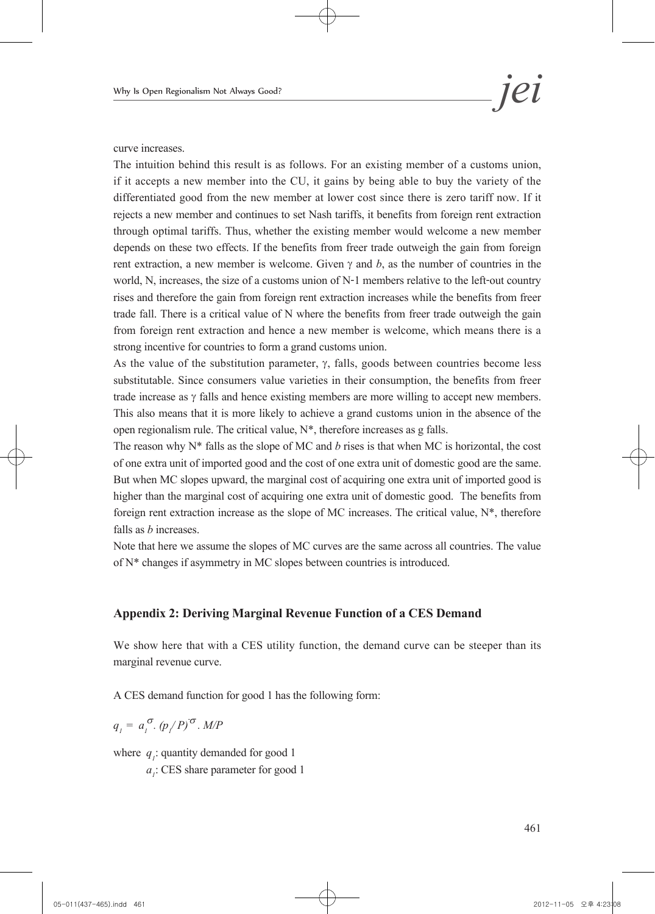curve increases.

The intuition behind this result is as follows. For an existing member of a customs union, if it accepts a new member into the CU, it gains by being able to buy the variety of the differentiated good from the new member at lower cost since there is zero tariff now. If it rejects a new member and continues to set Nash tariffs, it benefits from foreign rent extraction through optimal tariffs. Thus, whether the existing member would welcome a new member depends on these two effects. If the benefits from freer trade outweigh the gain from foreign rent extraction, a new member is welcome. Given  $\gamma$  and  $b$ , as the number of countries in the world, N, increases, the size of a customs union of N-1 members relative to the left-out country rises and therefore the gain from foreign rent extraction increases while the benefits from freer trade fall. There is a critical value of N where the benefits from freer trade outweigh the gain from foreign rent extraction and hence a new member is welcome, which means there is a strong incentive for countries to form a grand customs union.

As the value of the substitution parameter,  $\gamma$ , falls, goods between countries become less substitutable. Since consumers value varieties in their consumption, the benefits from freer trade increase as  $\gamma$  falls and hence existing members are more willing to accept new members. This also means that it is more likely to achieve a grand customs union in the absence of the open regionalism rule. The critical value, N\*, therefore increases as g falls.

The reason why  $N^*$  falls as the slope of MC and *b* rises is that when MC is horizontal, the cost of one extra unit of imported good and the cost of one extra unit of domestic good are the same. But when MC slopes upward, the marginal cost of acquiring one extra unit of imported good is higher than the marginal cost of acquiring one extra unit of domestic good. The benefits from foreign rent extraction increase as the slope of MC increases. The critical value, N\*, therefore falls as *b* increases.

Note that here we assume the slopes of MC curves are the same across all countries. The value of N\* changes if asymmetry in MC slopes between countries is introduced.

### **Appendix 2: Deriving Marginal Revenue Function of a CES Demand**

We show here that with a CES utility function, the demand curve can be steeper than its marginal revenue curve.

A CES demand function for good 1 has the following form:

$$
q_{j} = a_{j}^{\sigma} \cdot (p_{j}/P)^{\sigma} \cdot M/P
$$

where  $q_i$ : quantity demanded for good 1  $q_i$ : CES share parameter for good : CES share parameter for good 1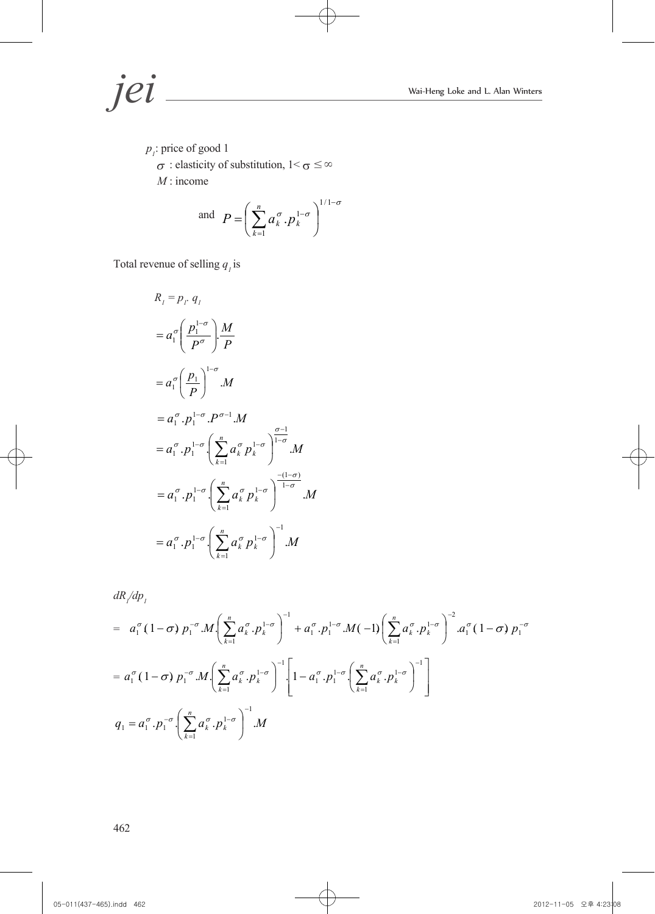$p_i$ : price of good 1  $\sigma$ : elasticity of substitution, 1<  $\sigma \leq \infty$ *M* : income

and 
$$
P = \left(\sum_{k=1}^{n} a_k^{\sigma} \cdot p_k^{1-\sigma}\right)^{1/1-\sigma}
$$

Total revenue of selling  $q_i$  is

$$
R_{1} = p_{1} \cdot q_{1}
$$
  
\n
$$
= a_{1}^{\sigma} \left( \frac{p_{1}^{1-\sigma}}{p^{\sigma}} \right) \frac{M}{P}
$$
  
\n
$$
= a_{1}^{\sigma} \left( \frac{p_{1}}{p} \right)^{1-\sigma} M
$$
  
\n
$$
= a_{1}^{\sigma} \cdot p_{1}^{1-\sigma} \cdot P^{\sigma-1} M
$$
  
\n
$$
= a_{1}^{\sigma} \cdot p_{1}^{1-\sigma} \left( \sum_{k=1}^{n} a_{k}^{\sigma} p_{k}^{1-\sigma} \right)^{\frac{\sigma-1}{1-\sigma}} M
$$
  
\n
$$
= a_{1}^{\sigma} \cdot p_{1}^{1-\sigma} \left( \sum_{k=1}^{n} a_{k}^{\sigma} p_{k}^{1-\sigma} \right)^{\frac{-(1-\sigma)}{1-\sigma}} M
$$
  
\n
$$
= a_{1}^{\sigma} \cdot p_{1}^{1-\sigma} \left( \sum_{k=1}^{n} a_{k}^{\sigma} p_{k}^{1-\sigma} \right)^{-1} M
$$

$$
dR/dp_j
$$

$$
= a_1^{\sigma} (1-\sigma) p_1^{-\sigma} M \left( \sum_{k=1}^n a_k^{\sigma} p_k^{1-\sigma} \right)^{-1} + a_1^{\sigma} p_1^{1-\sigma} M (-1) \left( \sum_{k=1}^n a_k^{\sigma} p_k^{1-\sigma} \right)^{-2} a_1^{\sigma} (1-\sigma) p_1^{-\sigma}
$$
  
\n
$$
= a_1^{\sigma} (1-\sigma) p_1^{-\sigma} M \left( \sum_{k=1}^n a_k^{\sigma} p_k^{1-\sigma} \right)^{-1} \left[ 1 - a_1^{\sigma} p_1^{1-\sigma} \left( \sum_{k=1}^n a_k^{\sigma} p_k^{1-\sigma} \right)^{-1} \right]
$$
  
\n
$$
q_1 = a_1^{\sigma} p_1^{-\sigma} \left( \sum_{k=1}^n a_k^{\sigma} p_k^{1-\sigma} \right)^{-1} M
$$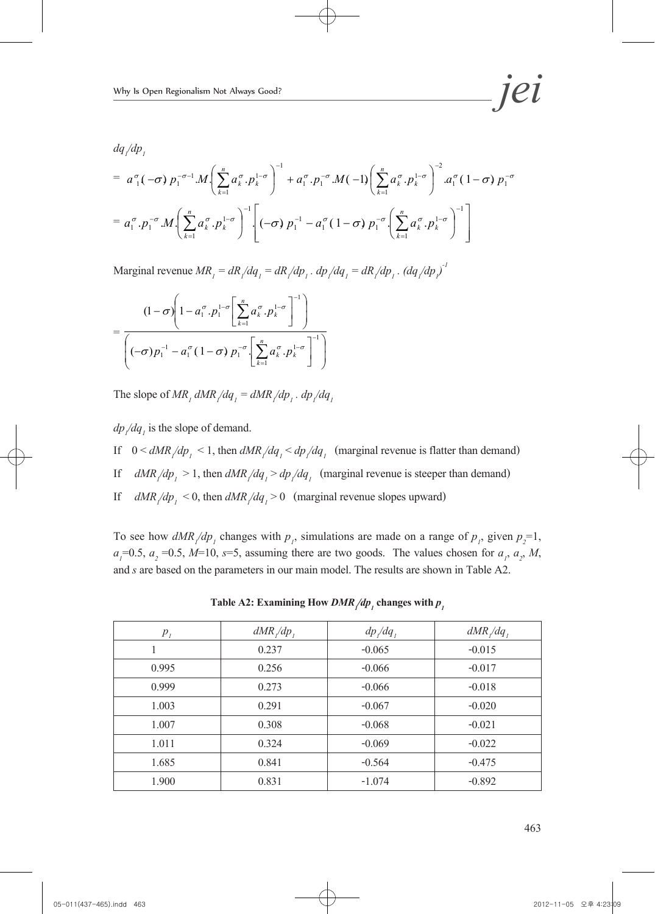*dq1 /dp1*

$$
= a_1^{\sigma}(-\sigma) p_1^{-\sigma-1} M \left( \sum_{k=1}^n a_k^{\sigma} p_k^{1-\sigma} \right)^{-1} + a_1^{\sigma} p_1^{-\sigma} M (-1) \left( \sum_{k=1}^n a_k^{\sigma} p_k^{1-\sigma} \right)^{-2} a_1^{\sigma} (1-\sigma) p_1^{-\sigma}
$$

$$
= a_1^{\sigma} p_1^{-\sigma} M \left( \sum_{k=1}^n a_k^{\sigma} p_k^{1-\sigma} \right)^{-1} \left[ (-\sigma) p_1^{-1} - a_1^{\sigma} (1-\sigma) p_1^{-\sigma} \left( \sum_{k=1}^n a_k^{\sigma} p_k^{1-\sigma} \right)^{-1} \right]
$$

Marginal revenue  $MR_1 = dR/dq_1 = dR/dp_1$ .  $dp/dq_1 = dR/dp_1$ .  $(dq/dp_1)^T$ 

$$
= \frac{(1-\sigma)\left(1-a_1^{\sigma}.p_1^{1-\sigma}\left[\sum_{k=1}^n a_k^{\sigma}.p_k^{1-\sigma}\right]^{-1}\right)}{\left((-\sigma)p_1^{-1}-a_1^{\sigma}(1-\sigma)p_1^{-\sigma}\left[\sum_{k=1}^n a_k^{\sigma}.p_k^{1-\sigma}\right]^{-1}\right)}
$$

The slope of  $MR_1 dMR/dq_1 = dMR/dp_1$ .  $dp/dq_1$ 

 $dp / dq_1$  is the slope of demand.

- If  $0 \leq dMR/dp_1 \leq 1$ , then  $dMR/dq_1 \leq dp/dq_1$  (marginal revenue is flatter than demand)
- If  $dMR/dp_1 > 1$ , then  $dMR/dq_1 > dp/dq_1$  (marginal revenue is steeper than demand)
- If  $dMR/dp_1 < 0$ , then  $dMR/dq_1 > 0$  (marginal revenue slopes upward)

To see how  $dMR/dp_1$  changes with  $p_1$ , simulations are made on a range of  $p_1$ , given  $p_2=1$ ,  $a_i=0.5$ ,  $a_2=0.5$ ,  $M=10$ ,  $s=5$ , assuming there are two goods. The values chosen for  $a_i$ ,  $a_2$ ,  $M$ , and s are based on the parameters in our main model. The results are shown in Table A2.

| $P_I$ | $dMR/dp$ , | $dp/dq$ , | $dMR/dq$ , |
|-------|------------|-----------|------------|
|       | 0.237      | $-0.065$  | $-0.015$   |
| 0.995 | 0.256      | $-0.066$  | $-0.017$   |
| 0.999 | 0.273      | $-0.066$  | $-0.018$   |
| 1.003 | 0.291      | $-0.067$  | $-0.020$   |
| 1.007 | 0.308      | $-0.068$  | $-0.021$   |
| 1.011 | 0.324      | $-0.069$  | $-0.022$   |
| 1.685 | 0.841      | $-0.564$  | $-0.475$   |
| 1.900 | 0.831      | $-1.074$  | $-0.892$   |

Table A2: Examining How  $DMR/dp_1$  changes with  $p_1$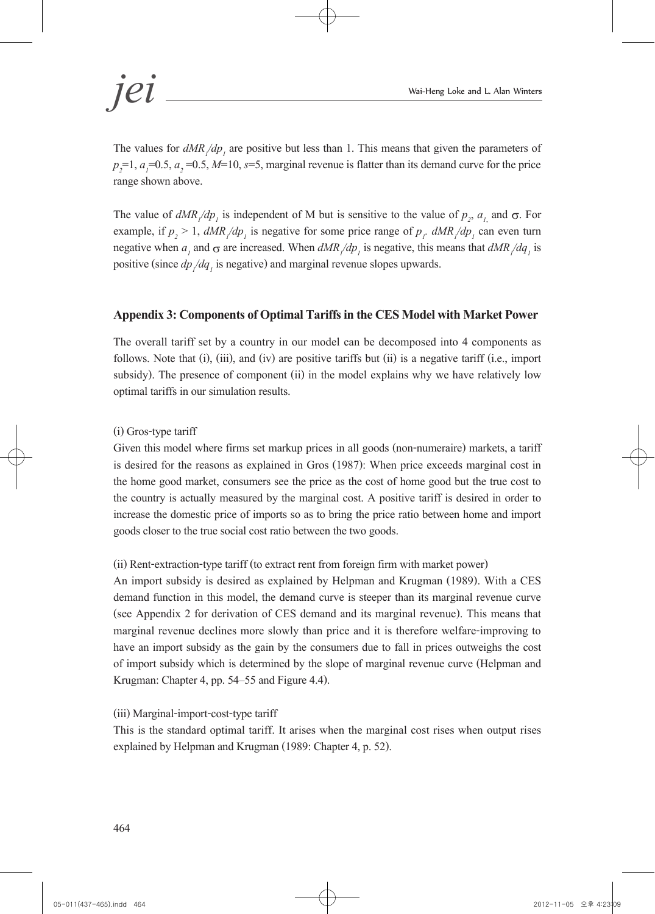The values for  $dMR/dp<sub>1</sub>$  are positive but less than 1. This means that given the parameters of  $p_2$ =1,  $a_1$ =0.5,  $a_2$ =0.5, *M*=10, *s*=5, marginal revenue is flatter than its demand curve for the price range shown above.

The value of  $dMR/dp_1$  is independent of M but is sensitive to the value of  $p_2$ ,  $a_{1}$ , and  $\sigma$ . For example, if  $p_2 > 1$ ,  $dMR/dp_1$  is negative for some price range of  $p_1$ .  $dMR/dp_1$  can even turn negative when  $a_1$  and  $\sigma$  are increased. When  $dMR/dp_1$  is negative, this means that  $dMR/dq_1$  is positive (since  $dp/dq_1$  is negative) and marginal revenue slopes upwards.

# **Appendix 3: Components of Optimal Tariffs in the CES Model with Market Power**

The overall tariff set by a country in our model can be decomposed into 4 components as follows. Note that (i), (iii), and (iv) are positive tariffs but (ii) is a negative tariff (i.e., import subsidy). The presence of component (ii) in the model explains why we have relatively low optimal tariffs in our simulation results.

# (i) Gros-type tariff

Given this model where firms set markup prices in all goods (non-numeraire) markets, a tariff is desired for the reasons as explained in Gros (1987): When price exceeds marginal cost in the home good market, consumers see the price as the cost of home good but the true cost to the country is actually measured by the marginal cost. A positive tariff is desired in order to increase the domestic price of imports so as to bring the price ratio between home and import goods closer to the true social cost ratio between the two goods.

# (ii) Rent-extraction-type tariff (to extract rent from foreign firm with market power)

An import subsidy is desired as explained by Helpman and Krugman (1989). With a CES demand function in this model, the demand curve is steeper than its marginal revenue curve (see Appendix 2 for derivation of CES demand and its marginal revenue). This means that marginal revenue declines more slowly than price and it is therefore welfare-improving to have an import subsidy as the gain by the consumers due to fall in prices outweighs the cost of import subsidy which is determined by the slope of marginal revenue curve (Helpman and Krugman: Chapter 4, pp. 54–55 and Figure 4.4).

# (iii) Marginal-import-cost-type tariff

This is the standard optimal tariff. It arises when the marginal cost rises when output rises explained by Helpman and Krugman (1989: Chapter 4, p. 52).